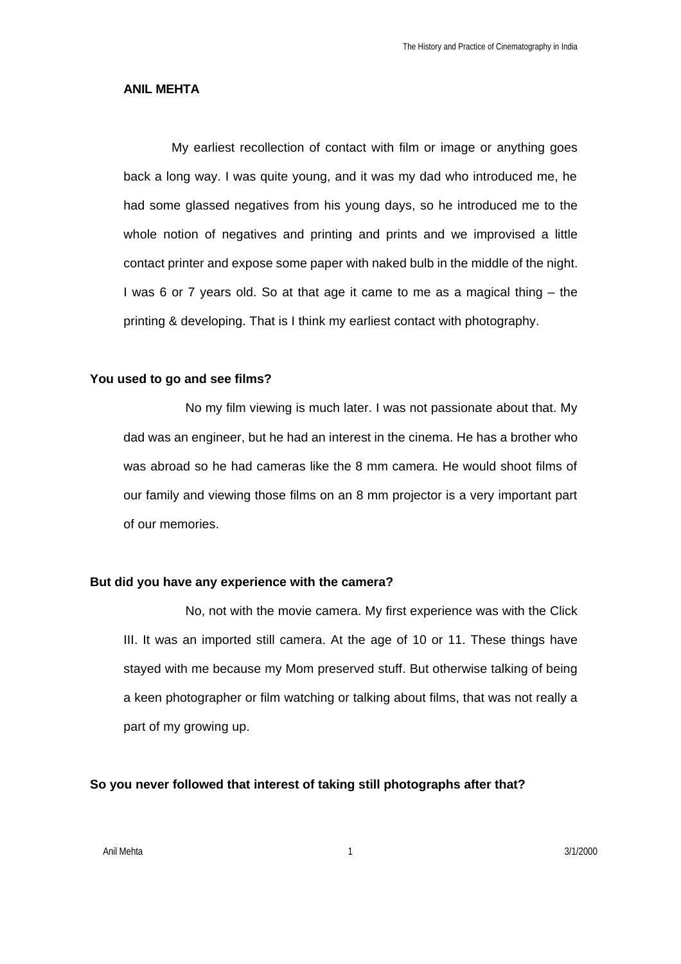### **ANIL MEHTA**

My earliest recollection of contact with film or image or anything goes back a long way. I was quite young, and it was my dad who introduced me, he had some glassed negatives from his young days, so he introduced me to the whole notion of negatives and printing and prints and we improvised a little contact printer and expose some paper with naked bulb in the middle of the night. I was 6 or 7 years old. So at that age it came to me as a magical thing – the printing & developing. That is I think my earliest contact with photography.

#### **You used to go and see films?**

No my film viewing is much later. I was not passionate about that. My dad was an engineer, but he had an interest in the cinema. He has a brother who was abroad so he had cameras like the 8 mm camera. He would shoot films of our family and viewing those films on an 8 mm projector is a very important part of our memories.

### **But did you have any experience with the camera?**

No, not with the movie camera. My first experience was with the Click III. It was an imported still camera. At the age of 10 or 11. These things have stayed with me because my Mom preserved stuff. But otherwise talking of being a keen photographer or film watching or talking about films, that was not really a part of my growing up.

### **So you never followed that interest of taking still photographs after that?**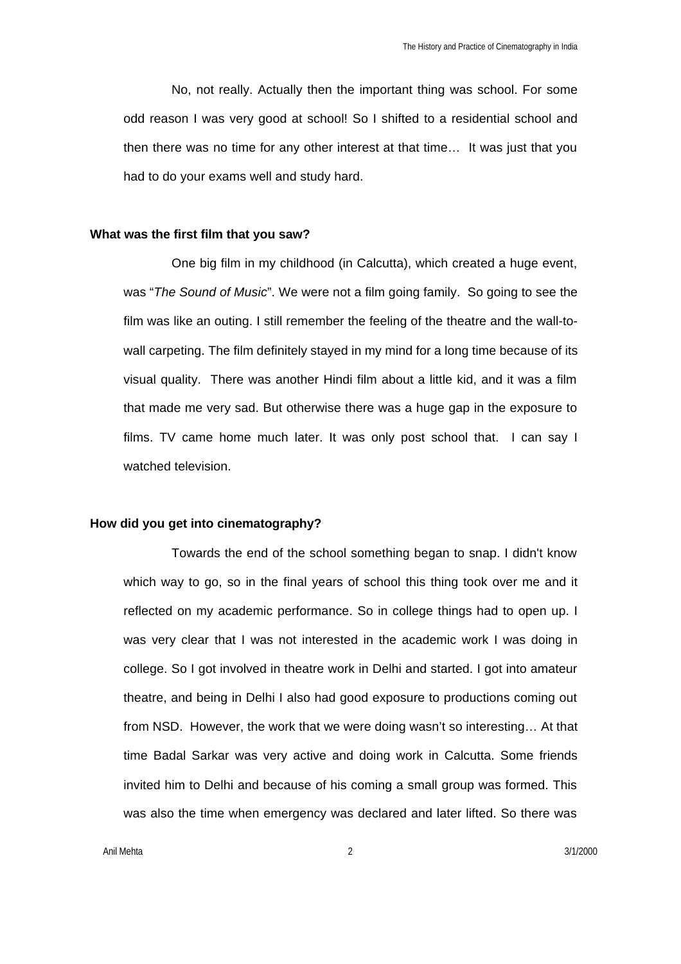No, not really. Actually then the important thing was school. For some odd reason I was very good at school! So I shifted to a residential school and then there was no time for any other interest at that time… It was just that you had to do your exams well and study hard.

### **What was the first film that you saw?**

One big film in my childhood (in Calcutta), which created a huge event, was "*The Sound of Music*". We were not a film going family. So going to see the film was like an outing. I still remember the feeling of the theatre and the wall-towall carpeting. The film definitely stayed in my mind for a long time because of its visual quality. There was another Hindi film about a little kid, and it was a film that made me very sad. But otherwise there was a huge gap in the exposure to films. TV came home much later. It was only post school that. I can say I watched television.

### **How did you get into cinematography?**

Towards the end of the school something began to snap. I didn't know which way to go, so in the final years of school this thing took over me and it reflected on my academic performance. So in college things had to open up. I was very clear that I was not interested in the academic work I was doing in college. So I got involved in theatre work in Delhi and started. I got into amateur theatre, and being in Delhi I also had good exposure to productions coming out from NSD. However, the work that we were doing wasn't so interesting… At that time Badal Sarkar was very active and doing work in Calcutta. Some friends invited him to Delhi and because of his coming a small group was formed. This was also the time when emergency was declared and later lifted. So there was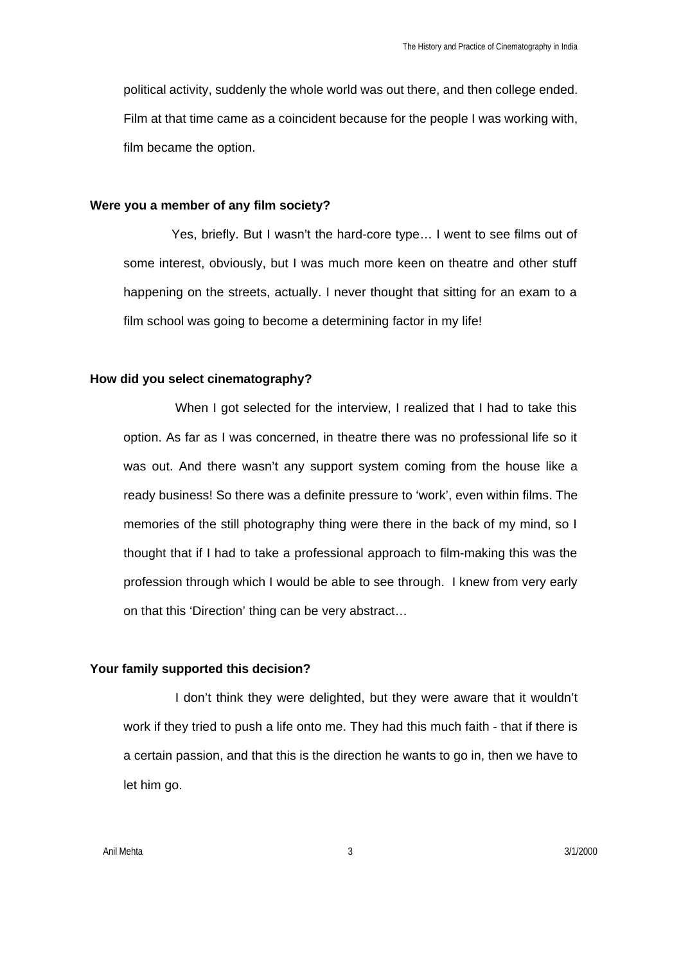political activity, suddenly the whole world was out there, and then college ended. Film at that time came as a coincident because for the people I was working with, film became the option.

#### **Were you a member of any film society?**

Yes, briefly. But I wasn't the hard-core type… I went to see films out of some interest, obviously, but I was much more keen on theatre and other stuff happening on the streets, actually. I never thought that sitting for an exam to a film school was going to become a determining factor in my life!

#### **How did you select cinematography?**

When I got selected for the interview, I realized that I had to take this option. As far as I was concerned, in theatre there was no professional life so it was out. And there wasn't any support system coming from the house like a ready business! So there was a definite pressure to 'work', even within films. The memories of the still photography thing were there in the back of my mind, so I thought that if I had to take a professional approach to film-making this was the profession through which I would be able to see through. I knew from very early on that this 'Direction' thing can be very abstract…

### **Your family supported this decision?**

I don't think they were delighted, but they were aware that it wouldn't work if they tried to push a life onto me. They had this much faith - that if there is a certain passion, and that this is the direction he wants to go in, then we have to let him go.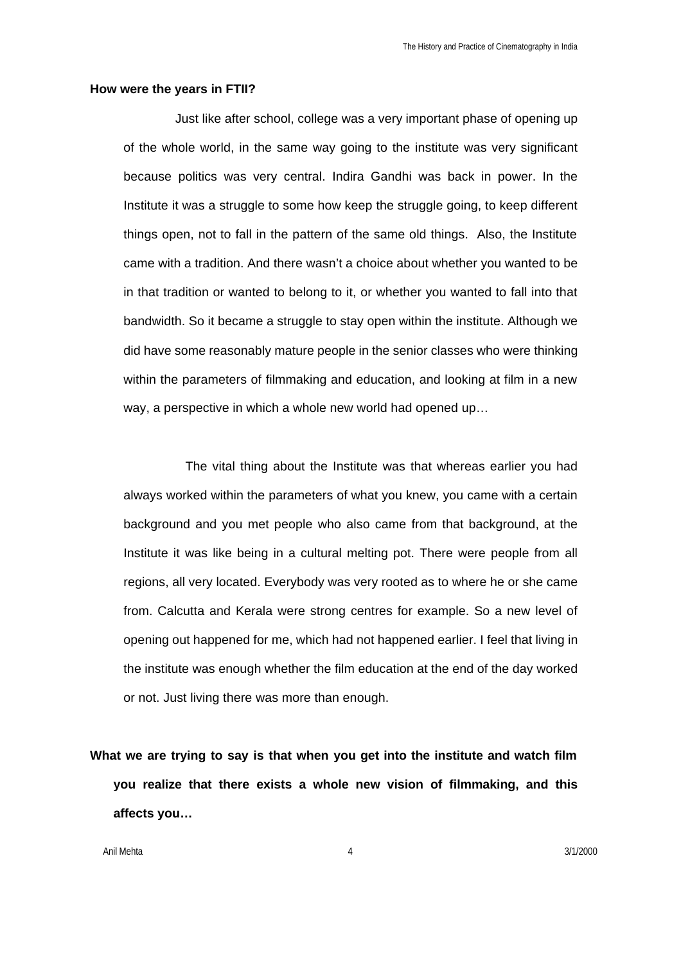#### **How were the years in FTII?**

Just like after school, college was a very important phase of opening up of the whole world, in the same way going to the institute was very significant because politics was very central. Indira Gandhi was back in power. In the Institute it was a struggle to some how keep the struggle going, to keep different things open, not to fall in the pattern of the same old things. Also, the Institute came with a tradition. And there wasn't a choice about whether you wanted to be in that tradition or wanted to belong to it, or whether you wanted to fall into that bandwidth. So it became a struggle to stay open within the institute. Although we did have some reasonably mature people in the senior classes who were thinking within the parameters of filmmaking and education, and looking at film in a new way, a perspective in which a whole new world had opened up…

The vital thing about the Institute was that whereas earlier you had always worked within the parameters of what you knew, you came with a certain background and you met people who also came from that background, at the Institute it was like being in a cultural melting pot. There were people from all regions, all very located. Everybody was very rooted as to where he or she came from. Calcutta and Kerala were strong centres for example. So a new level of opening out happened for me, which had not happened earlier. I feel that living in the institute was enough whether the film education at the end of the day worked or not. Just living there was more than enough.

**What we are trying to say is that when you get into the institute and watch film you realize that there exists a whole new vision of filmmaking, and this affects you…** 

Anil Mehta 4 3/1/2000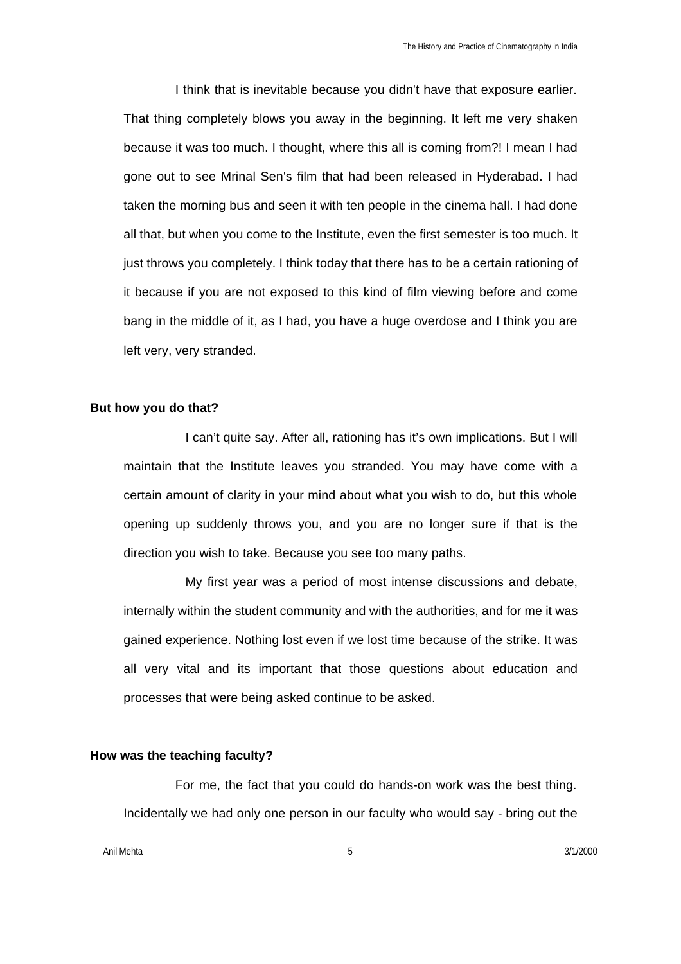I think that is inevitable because you didn't have that exposure earlier. That thing completely blows you away in the beginning. It left me very shaken because it was too much. I thought, where this all is coming from?! I mean I had gone out to see Mrinal Sen's film that had been released in Hyderabad. I had taken the morning bus and seen it with ten people in the cinema hall. I had done all that, but when you come to the Institute, even the first semester is too much. It just throws you completely. I think today that there has to be a certain rationing of it because if you are not exposed to this kind of film viewing before and come bang in the middle of it, as I had, you have a huge overdose and I think you are left very, very stranded.

### **But how you do that?**

I can't quite say. After all, rationing has it's own implications. But I will maintain that the Institute leaves you stranded. You may have come with a certain amount of clarity in your mind about what you wish to do, but this whole opening up suddenly throws you, and you are no longer sure if that is the direction you wish to take. Because you see too many paths.

My first year was a period of most intense discussions and debate, internally within the student community and with the authorities, and for me it was gained experience. Nothing lost even if we lost time because of the strike. It was all very vital and its important that those questions about education and processes that were being asked continue to be asked.

#### **How was the teaching faculty?**

For me, the fact that you could do hands-on work was the best thing. Incidentally we had only one person in our faculty who would say - bring out the

Anil Mehta 5 3/1/2000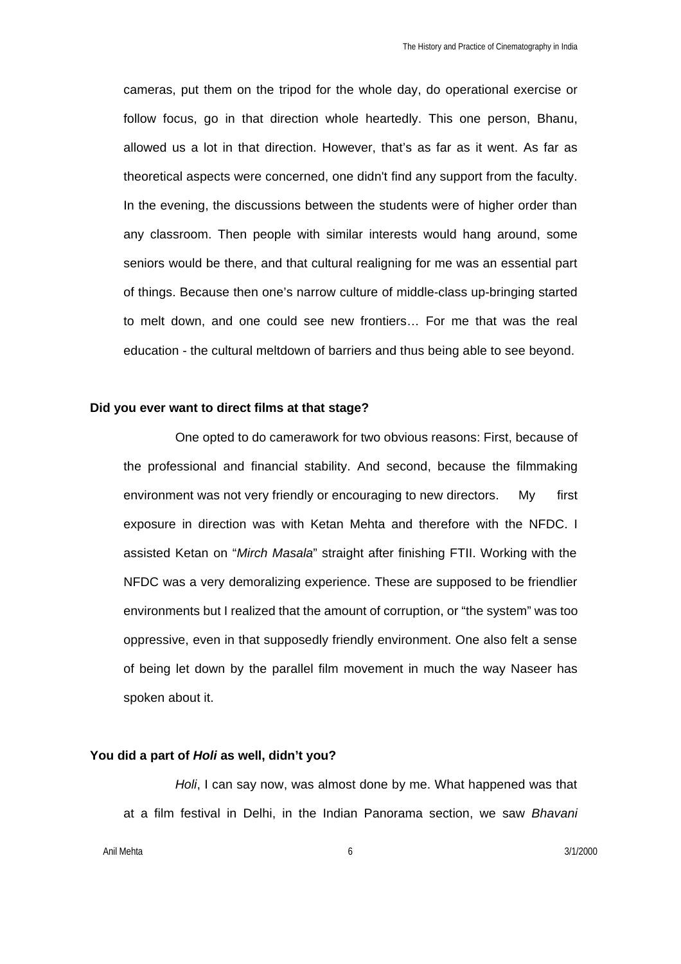cameras, put them on the tripod for the whole day, do operational exercise or follow focus, go in that direction whole heartedly. This one person, Bhanu, allowed us a lot in that direction. However, that's as far as it went. As far as theoretical aspects were concerned, one didn't find any support from the faculty. In the evening, the discussions between the students were of higher order than any classroom. Then people with similar interests would hang around, some seniors would be there, and that cultural realigning for me was an essential part of things. Because then one's narrow culture of middle-class up-bringing started to melt down, and one could see new frontiers… For me that was the real education - the cultural meltdown of barriers and thus being able to see beyond.

#### **Did you ever want to direct films at that stage?**

One opted to do camerawork for two obvious reasons: First, because of the professional and financial stability. And second, because the filmmaking environment was not very friendly or encouraging to new directors. My first exposure in direction was with Ketan Mehta and therefore with the NFDC. I assisted Ketan on "*Mirch Masala*" straight after finishing FTII. Working with the NFDC was a very demoralizing experience. These are supposed to be friendlier environments but I realized that the amount of corruption, or "the system" was too oppressive, even in that supposedly friendly environment. One also felt a sense of being let down by the parallel film movement in much the way Naseer has spoken about it.

#### **You did a part of** *Holi* **as well, didn't you?**

*Holi*, I can say now, was almost done by me. What happened was that at a film festival in Delhi, in the Indian Panorama section, we saw *Bhavani*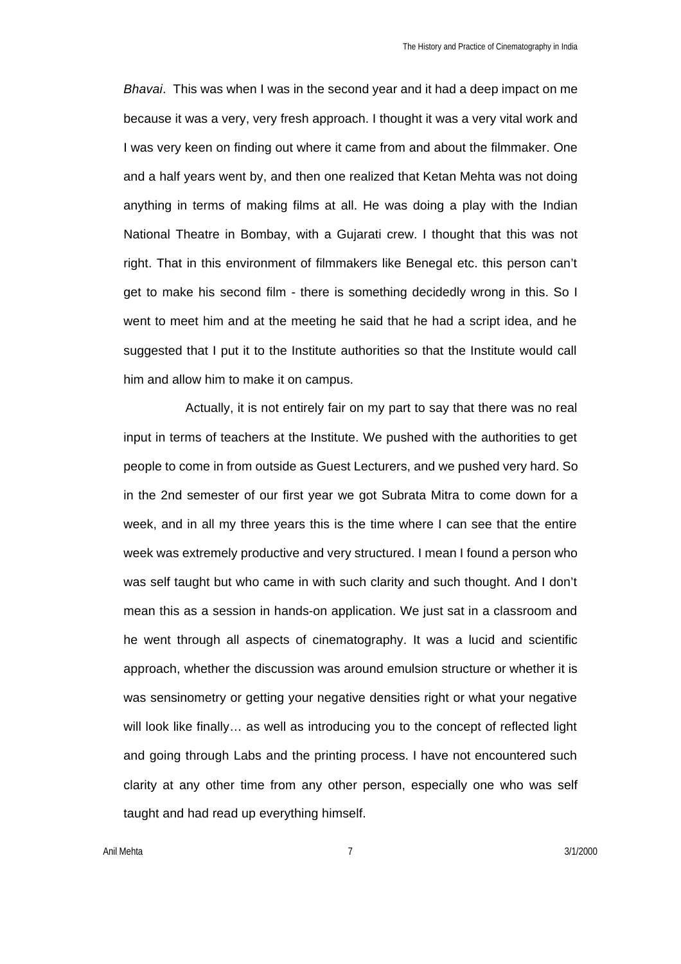*Bhavai*. This was when I was in the second year and it had a deep impact on me because it was a very, very fresh approach. I thought it was a very vital work and I was very keen on finding out where it came from and about the filmmaker. One and a half years went by, and then one realized that Ketan Mehta was not doing anything in terms of making films at all. He was doing a play with the Indian National Theatre in Bombay, with a Gujarati crew. I thought that this was not right. That in this environment of filmmakers like Benegal etc. this person can't get to make his second film - there is something decidedly wrong in this. So I went to meet him and at the meeting he said that he had a script idea, and he suggested that I put it to the Institute authorities so that the Institute would call him and allow him to make it on campus.

Actually, it is not entirely fair on my part to say that there was no real input in terms of teachers at the Institute. We pushed with the authorities to get people to come in from outside as Guest Lecturers, and we pushed very hard. So in the 2nd semester of our first year we got Subrata Mitra to come down for a week, and in all my three years this is the time where I can see that the entire week was extremely productive and very structured. I mean I found a person who was self taught but who came in with such clarity and such thought. And I don't mean this as a session in hands-on application. We just sat in a classroom and he went through all aspects of cinematography. It was a lucid and scientific approach, whether the discussion was around emulsion structure or whether it is was sensinometry or getting your negative densities right or what your negative will look like finally… as well as introducing you to the concept of reflected light and going through Labs and the printing process. I have not encountered such clarity at any other time from any other person, especially one who was self taught and had read up everything himself.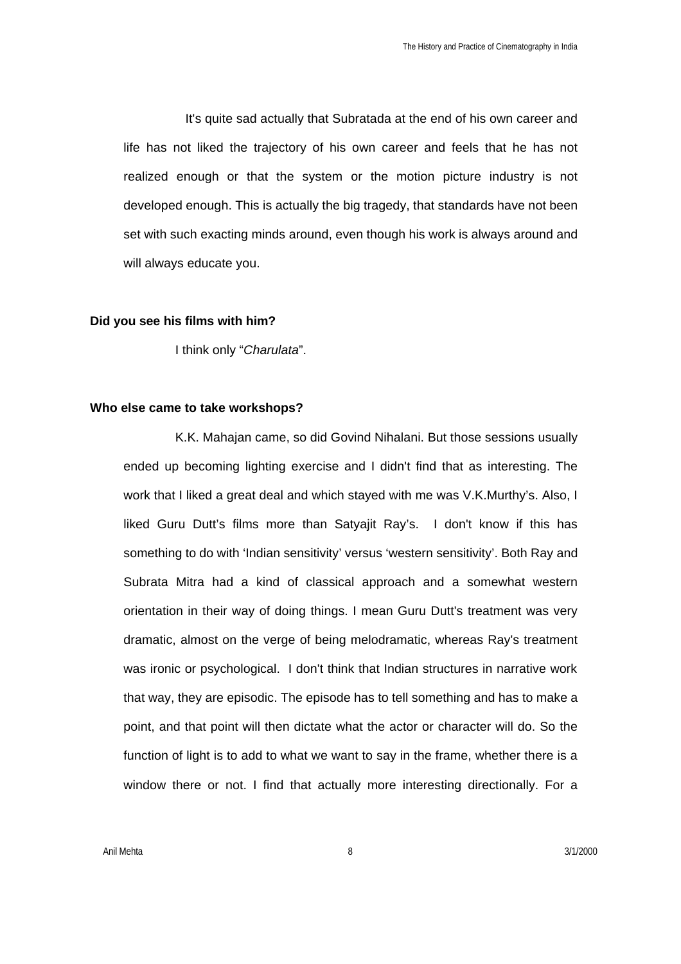It's quite sad actually that Subratada at the end of his own career and life has not liked the trajectory of his own career and feels that he has not realized enough or that the system or the motion picture industry is not developed enough. This is actually the big tragedy, that standards have not been set with such exacting minds around, even though his work is always around and will always educate you.

### **Did you see his films with him?**

I think only "*Charulata*".

#### **Who else came to take workshops?**

K.K. Mahajan came, so did Govind Nihalani. But those sessions usually ended up becoming lighting exercise and I didn't find that as interesting. The work that I liked a great deal and which stayed with me was V.K.Murthy's. Also, I liked Guru Dutt's films more than Satyajit Ray's. I don't know if this has something to do with 'Indian sensitivity' versus 'western sensitivity'. Both Ray and Subrata Mitra had a kind of classical approach and a somewhat western orientation in their way of doing things. I mean Guru Dutt's treatment was very dramatic, almost on the verge of being melodramatic, whereas Ray's treatment was ironic or psychological. I don't think that Indian structures in narrative work that way, they are episodic. The episode has to tell something and has to make a point, and that point will then dictate what the actor or character will do. So the function of light is to add to what we want to say in the frame, whether there is a window there or not. I find that actually more interesting directionally. For a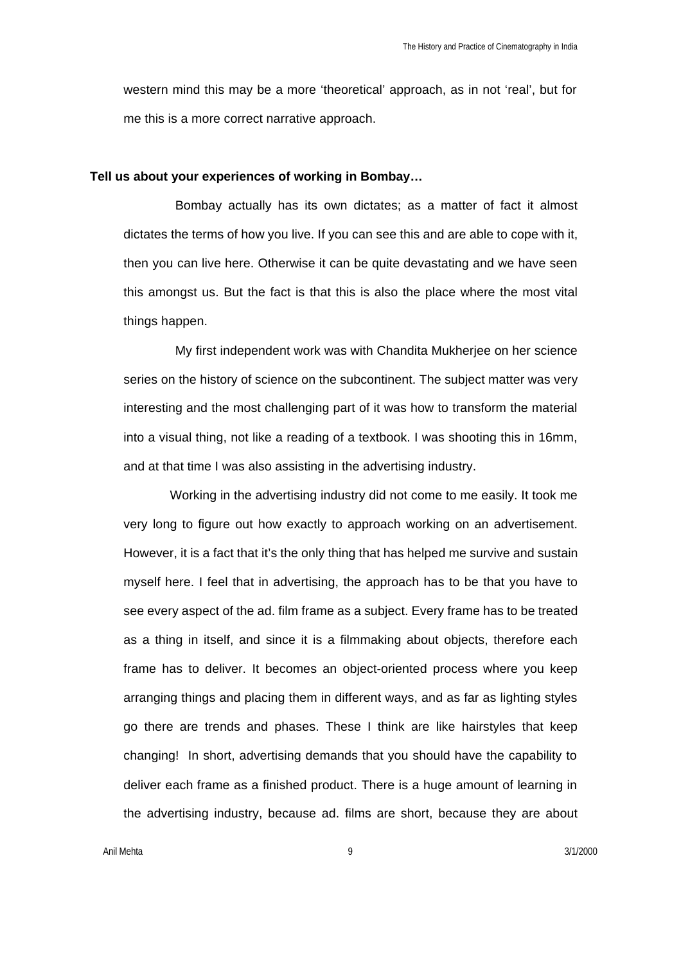western mind this may be a more 'theoretical' approach, as in not 'real', but for me this is a more correct narrative approach.

#### **Tell us about your experiences of working in Bombay…**

Bombay actually has its own dictates; as a matter of fact it almost dictates the terms of how you live. If you can see this and are able to cope with it, then you can live here. Otherwise it can be quite devastating and we have seen this amongst us. But the fact is that this is also the place where the most vital things happen.

My first independent work was with Chandita Mukherjee on her science series on the history of science on the subcontinent. The subject matter was very interesting and the most challenging part of it was how to transform the material into a visual thing, not like a reading of a textbook. I was shooting this in 16mm, and at that time I was also assisting in the advertising industry.

Working in the advertising industry did not come to me easily. It took me very long to figure out how exactly to approach working on an advertisement. However, it is a fact that it's the only thing that has helped me survive and sustain myself here. I feel that in advertising, the approach has to be that you have to see every aspect of the ad. film frame as a subject. Every frame has to be treated as a thing in itself, and since it is a filmmaking about objects, therefore each frame has to deliver. It becomes an object-oriented process where you keep arranging things and placing them in different ways, and as far as lighting styles go there are trends and phases. These I think are like hairstyles that keep changing! In short, advertising demands that you should have the capability to deliver each frame as a finished product. There is a huge amount of learning in the advertising industry, because ad. films are short, because they are about

Anil Mehta 9 3/1/2000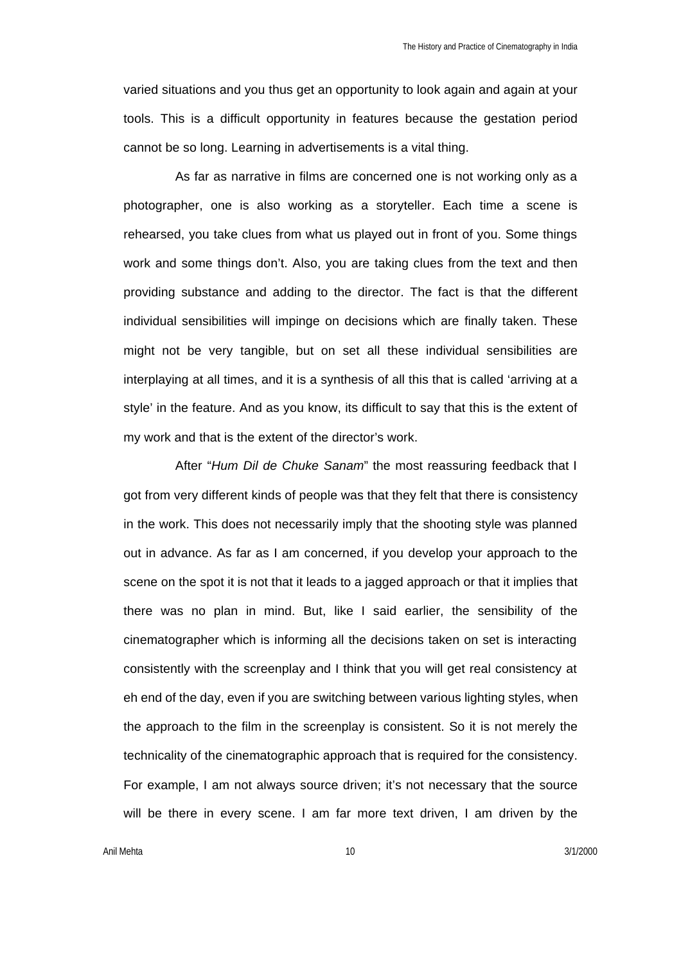varied situations and you thus get an opportunity to look again and again at your tools. This is a difficult opportunity in features because the gestation period cannot be so long. Learning in advertisements is a vital thing.

As far as narrative in films are concerned one is not working only as a photographer, one is also working as a storyteller. Each time a scene is rehearsed, you take clues from what us played out in front of you. Some things work and some things don't. Also, you are taking clues from the text and then providing substance and adding to the director. The fact is that the different individual sensibilities will impinge on decisions which are finally taken. These might not be very tangible, but on set all these individual sensibilities are interplaying at all times, and it is a synthesis of all this that is called 'arriving at a style' in the feature. And as you know, its difficult to say that this is the extent of my work and that is the extent of the director's work.

After "*Hum Dil de Chuke Sanam*" the most reassuring feedback that I got from very different kinds of people was that they felt that there is consistency in the work. This does not necessarily imply that the shooting style was planned out in advance. As far as I am concerned, if you develop your approach to the scene on the spot it is not that it leads to a jagged approach or that it implies that there was no plan in mind. But, like I said earlier, the sensibility of the cinematographer which is informing all the decisions taken on set is interacting consistently with the screenplay and I think that you will get real consistency at eh end of the day, even if you are switching between various lighting styles, when the approach to the film in the screenplay is consistent. So it is not merely the technicality of the cinematographic approach that is required for the consistency. For example, I am not always source driven; it's not necessary that the source will be there in every scene. I am far more text driven, I am driven by the

Anil Mehta 10 3/1/2000 10 3/1/2000 10 3/1/2000 10 3/1/2000 10 3/1/2000 10 3/1/2000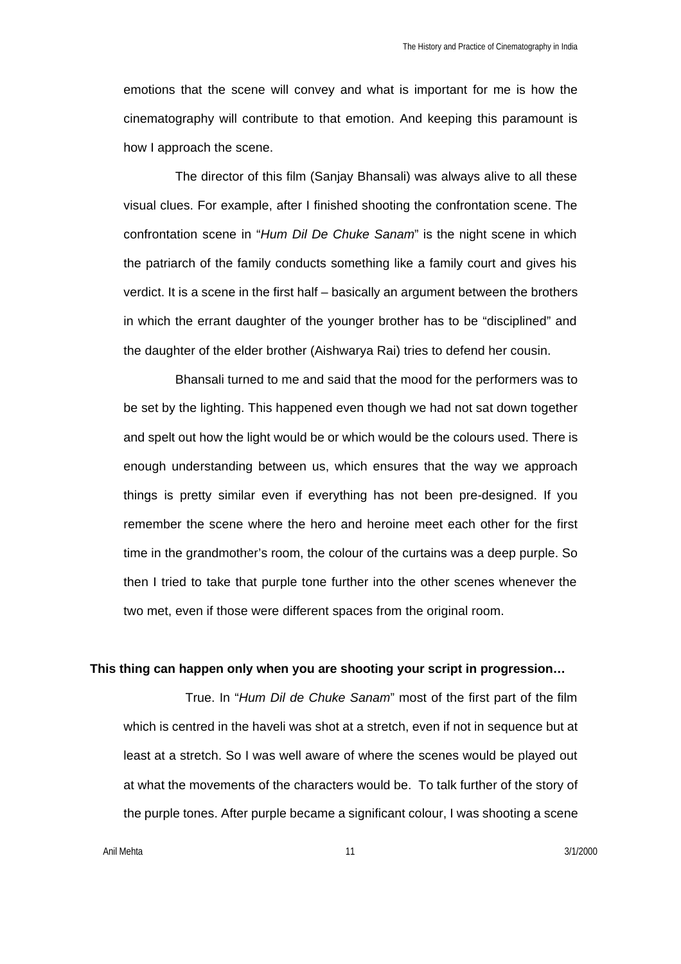emotions that the scene will convey and what is important for me is how the cinematography will contribute to that emotion. And keeping this paramount is how I approach the scene.

The director of this film (Sanjay Bhansali) was always alive to all these visual clues. For example, after I finished shooting the confrontation scene. The confrontation scene in "*Hum Dil De Chuke Sanam*" is the night scene in which the patriarch of the family conducts something like a family court and gives his verdict. It is a scene in the first half – basically an argument between the brothers in which the errant daughter of the younger brother has to be "disciplined" and the daughter of the elder brother (Aishwarya Rai) tries to defend her cousin.

Bhansali turned to me and said that the mood for the performers was to be set by the lighting. This happened even though we had not sat down together and spelt out how the light would be or which would be the colours used. There is enough understanding between us, which ensures that the way we approach things is pretty similar even if everything has not been pre-designed. If you remember the scene where the hero and heroine meet each other for the first time in the grandmother's room, the colour of the curtains was a deep purple. So then I tried to take that purple tone further into the other scenes whenever the two met, even if those were different spaces from the original room.

### **This thing can happen only when you are shooting your script in progression…**

True. In "*Hum Dil de Chuke Sanam*" most of the first part of the film which is centred in the haveli was shot at a stretch, even if not in sequence but at least at a stretch. So I was well aware of where the scenes would be played out at what the movements of the characters would be. To talk further of the story of the purple tones. After purple became a significant colour, I was shooting a scene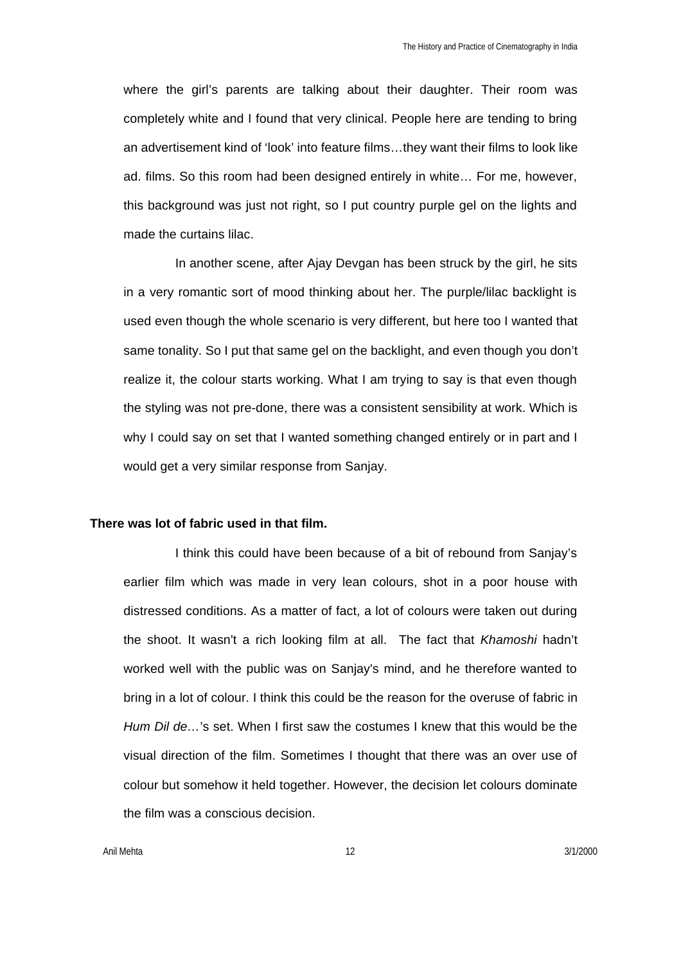where the girl's parents are talking about their daughter. Their room was completely white and I found that very clinical. People here are tending to bring an advertisement kind of 'look' into feature films…they want their films to look like ad. films. So this room had been designed entirely in white… For me, however, this background was just not right, so I put country purple gel on the lights and made the curtains lilac.

In another scene, after Ajay Devgan has been struck by the girl, he sits in a very romantic sort of mood thinking about her. The purple/lilac backlight is used even though the whole scenario is very different, but here too I wanted that same tonality. So I put that same gel on the backlight, and even though you don't realize it, the colour starts working. What I am trying to say is that even though the styling was not pre-done, there was a consistent sensibility at work. Which is why I could say on set that I wanted something changed entirely or in part and I would get a very similar response from Sanjay.

### **There was lot of fabric used in that film.**

I think this could have been because of a bit of rebound from Sanjay's earlier film which was made in very lean colours, shot in a poor house with distressed conditions. As a matter of fact, a lot of colours were taken out during the shoot. It wasn't a rich looking film at all. The fact that *Khamoshi* hadn't worked well with the public was on Sanjay's mind, and he therefore wanted to bring in a lot of colour. I think this could be the reason for the overuse of fabric in *Hum Dil de…*'s set. When I first saw the costumes I knew that this would be the visual direction of the film. Sometimes I thought that there was an over use of colour but somehow it held together. However, the decision let colours dominate the film was a conscious decision.

Anil Mehta 12 3/1/2000 12 3/1/2000 12 3/1/2000 12 3/1/2000 12 3/1/2000 12 3/1/2000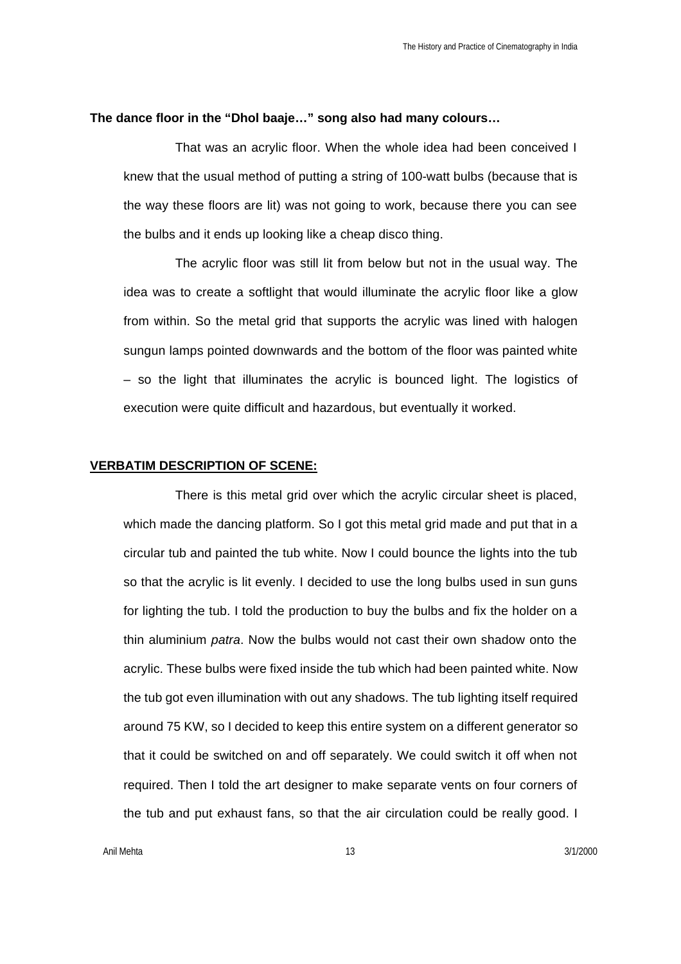#### **The dance floor in the "Dhol baaje…" song also had many colours…**

That was an acrylic floor. When the whole idea had been conceived I knew that the usual method of putting a string of 100-watt bulbs (because that is the way these floors are lit) was not going to work, because there you can see the bulbs and it ends up looking like a cheap disco thing.

The acrylic floor was still lit from below but not in the usual way. The idea was to create a softlight that would illuminate the acrylic floor like a glow from within. So the metal grid that supports the acrylic was lined with halogen sungun lamps pointed downwards and the bottom of the floor was painted white – so the light that illuminates the acrylic is bounced light. The logistics of execution were quite difficult and hazardous, but eventually it worked.

#### **VERBATIM DESCRIPTION OF SCENE:**

There is this metal grid over which the acrylic circular sheet is placed, which made the dancing platform. So I got this metal grid made and put that in a circular tub and painted the tub white. Now I could bounce the lights into the tub so that the acrylic is lit evenly. I decided to use the long bulbs used in sun guns for lighting the tub. I told the production to buy the bulbs and fix the holder on a thin aluminium *patra*. Now the bulbs would not cast their own shadow onto the acrylic. These bulbs were fixed inside the tub which had been painted white. Now the tub got even illumination with out any shadows. The tub lighting itself required around 75 KW, so I decided to keep this entire system on a different generator so that it could be switched on and off separately. We could switch it off when not required. Then I told the art designer to make separate vents on four corners of the tub and put exhaust fans, so that the air circulation could be really good. I

Anil Mehta 13 3/1/2000 13 3/1/2000 13 3/1/2000 13 3/1/2000 13 3/1/2000 13 3/1/2000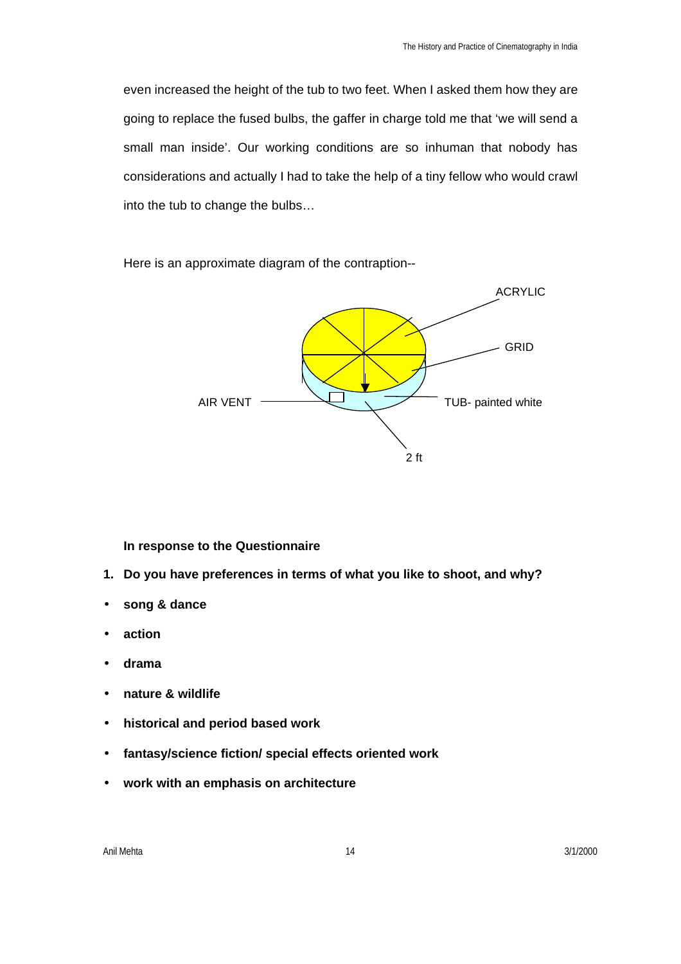even increased the height of the tub to two feet. When I asked them how they are going to replace the fused bulbs, the gaffer in charge told me that 'we will send a small man inside'. Our working conditions are so inhuman that nobody has considerations and actually I had to take the help of a tiny fellow who would crawl into the tub to change the bulbs…

Here is an approximate diagram of the contraption--



### **In response to the Questionnaire**

- **1. Do you have preferences in terms of what you like to shoot, and why?**
- **song & dance**
- **action**
- **drama**
- **nature & wildlife**
- **historical and period based work**
- **fantasy/science fiction/ special effects oriented work**
- **work with an emphasis on architecture**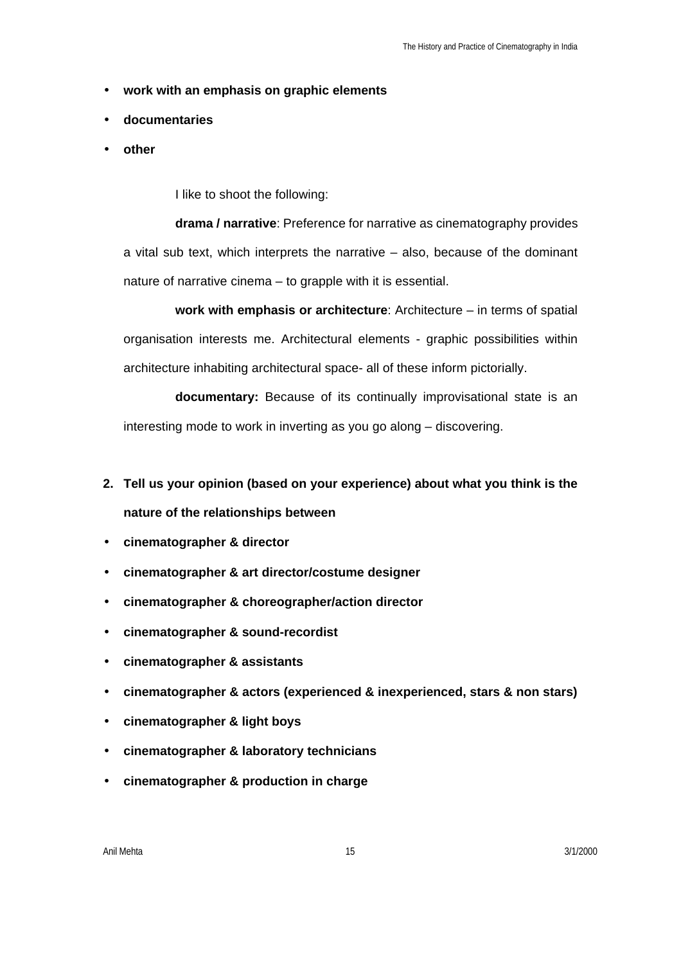- **work with an emphasis on graphic elements**
- **documentaries**
- **other**

I like to shoot the following:

**drama / narrative**: Preference for narrative as cinematography provides a vital sub text, which interprets the narrative – also, because of the dominant nature of narrative cinema – to grapple with it is essential.

**work with emphasis or architecture**: Architecture – in terms of spatial organisation interests me. Architectural elements - graphic possibilities within architecture inhabiting architectural space- all of these inform pictorially.

**documentary:** Because of its continually improvisational state is an interesting mode to work in inverting as you go along – discovering.

- **2. Tell us your opinion (based on your experience) about what you think is the nature of the relationships between**
- **cinematographer & director**
- **cinematographer & art director/costume designer**
- **cinematographer & choreographer/action director**
- **cinematographer & sound-recordist**
- **cinematographer & assistants**
- **cinematographer & actors (experienced & inexperienced, stars & non stars)**
- **cinematographer & light boys**
- **cinematographer & laboratory technicians**
- **cinematographer & production in charge**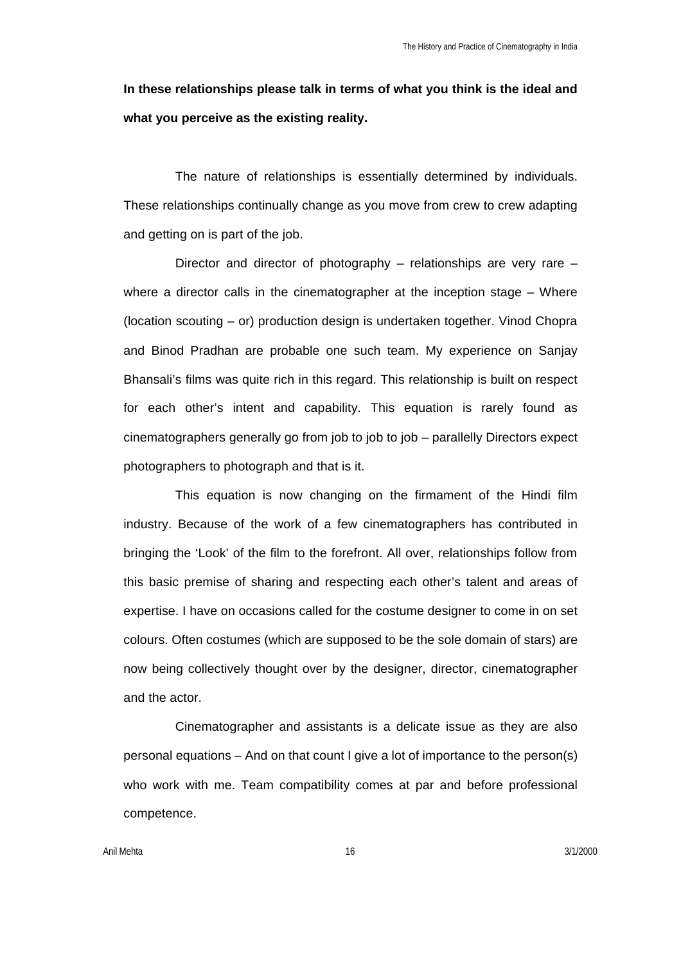**In these relationships please talk in terms of what you think is the ideal and what you perceive as the existing reality.**

The nature of relationships is essentially determined by individuals. These relationships continually change as you move from crew to crew adapting and getting on is part of the job.

Director and director of photography – relationships are very rare – where a director calls in the cinematographer at the inception stage – Where (location scouting – or) production design is undertaken together. Vinod Chopra and Binod Pradhan are probable one such team. My experience on Sanjay Bhansali's films was quite rich in this regard. This relationship is built on respect for each other's intent and capability. This equation is rarely found as cinematographers generally go from job to job to job – parallelly Directors expect photographers to photograph and that is it.

This equation is now changing on the firmament of the Hindi film industry. Because of the work of a few cinematographers has contributed in bringing the 'Look' of the film to the forefront. All over, relationships follow from this basic premise of sharing and respecting each other's talent and areas of expertise. I have on occasions called for the costume designer to come in on set colours. Often costumes (which are supposed to be the sole domain of stars) are now being collectively thought over by the designer, director, cinematographer and the actor.

Cinematographer and assistants is a delicate issue as they are also personal equations – And on that count I give a lot of importance to the person(s) who work with me. Team compatibility comes at par and before professional competence.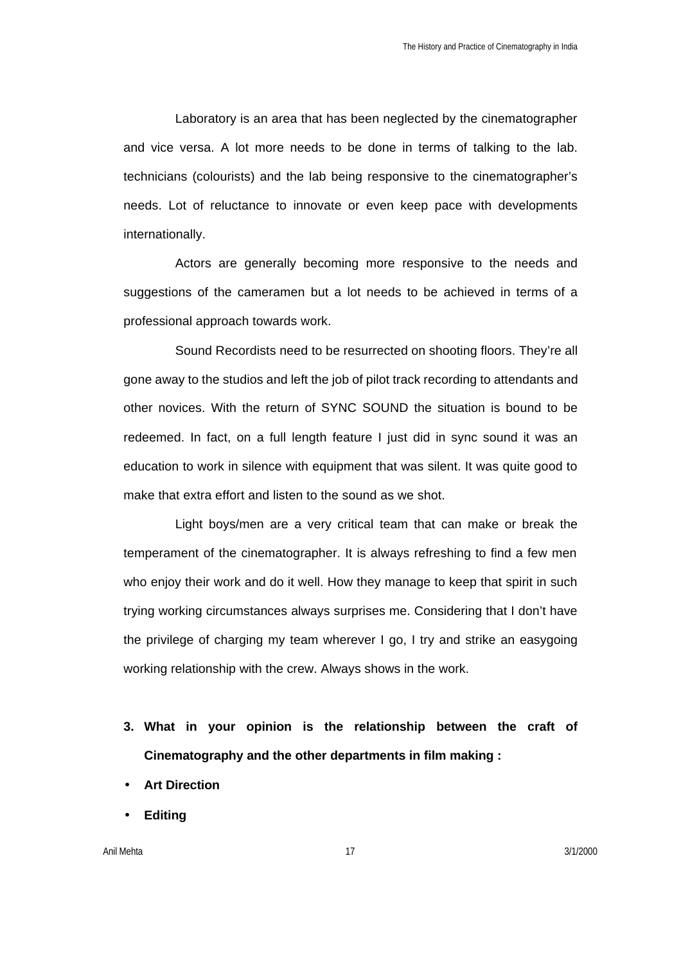Laboratory is an area that has been neglected by the cinematographer and vice versa. A lot more needs to be done in terms of talking to the lab. technicians (colourists) and the lab being responsive to the cinematographer's needs. Lot of reluctance to innovate or even keep pace with developments internationally.

Actors are generally becoming more responsive to the needs and suggestions of the cameramen but a lot needs to be achieved in terms of a professional approach towards work.

Sound Recordists need to be resurrected on shooting floors. They're all gone away to the studios and left the job of pilot track recording to attendants and other novices. With the return of SYNC SOUND the situation is bound to be redeemed. In fact, on a full length feature I just did in sync sound it was an education to work in silence with equipment that was silent. It was quite good to make that extra effort and listen to the sound as we shot.

Light boys/men are a very critical team that can make or break the temperament of the cinematographer. It is always refreshing to find a few men who enjoy their work and do it well. How they manage to keep that spirit in such trying working circumstances always surprises me. Considering that I don't have the privilege of charging my team wherever I go, I try and strike an easygoing working relationship with the crew. Always shows in the work.

- **3. What in your opinion is the relationship between the craft of Cinematography and the other departments in film making :**
- **Art Direction**
- **Editing**

Anil Mehta 17 3/1/2000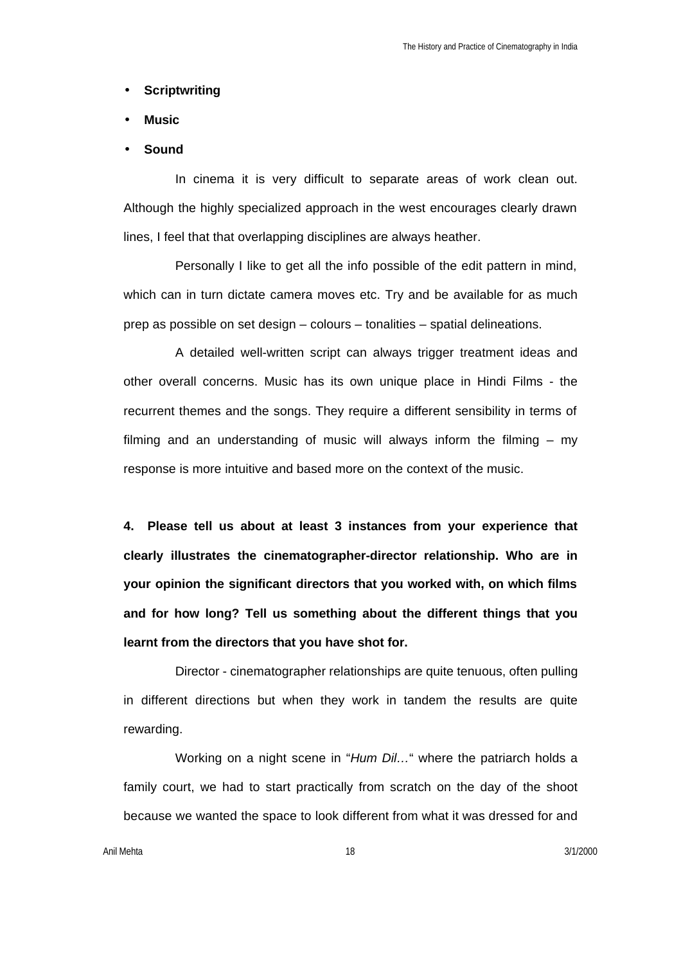#### • **Scriptwriting**

- **Music**
- **Sound**

In cinema it is very difficult to separate areas of work clean out. Although the highly specialized approach in the west encourages clearly drawn lines, I feel that that overlapping disciplines are always heather.

Personally I like to get all the info possible of the edit pattern in mind, which can in turn dictate camera moves etc. Try and be available for as much prep as possible on set design – colours – tonalities – spatial delineations.

A detailed well-written script can always trigger treatment ideas and other overall concerns. Music has its own unique place in Hindi Films - the recurrent themes and the songs. They require a different sensibility in terms of filming and an understanding of music will always inform the filming – my response is more intuitive and based more on the context of the music.

**4. Please tell us about at least 3 instances from your experience that clearly illustrates the cinematographer-director relationship. Who are in your opinion the significant directors that you worked with, on which films and for how long? Tell us something about the different things that you learnt from the directors that you have shot for.**

Director - cinematographer relationships are quite tenuous, often pulling in different directions but when they work in tandem the results are quite rewarding.

Working on a night scene in "*Hum Dil…*" where the patriarch holds a family court, we had to start practically from scratch on the day of the shoot because we wanted the space to look different from what it was dressed for and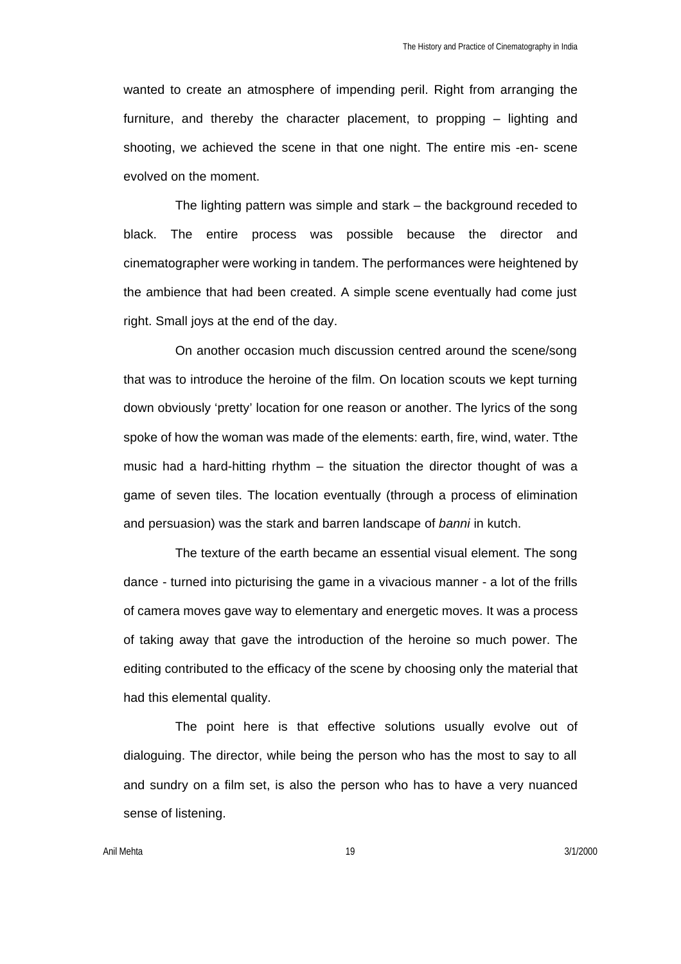wanted to create an atmosphere of impending peril. Right from arranging the furniture, and thereby the character placement, to propping – lighting and shooting, we achieved the scene in that one night. The entire mis -en- scene evolved on the moment.

The lighting pattern was simple and stark – the background receded to black. The entire process was possible because the director and cinematographer were working in tandem. The performances were heightened by the ambience that had been created. A simple scene eventually had come just right. Small joys at the end of the day.

On another occasion much discussion centred around the scene/song that was to introduce the heroine of the film. On location scouts we kept turning down obviously 'pretty' location for one reason or another. The lyrics of the song spoke of how the woman was made of the elements: earth, fire, wind, water. Tthe music had a hard-hitting rhythm – the situation the director thought of was a game of seven tiles. The location eventually (through a process of elimination and persuasion) was the stark and barren landscape of *banni* in kutch.

The texture of the earth became an essential visual element. The song dance - turned into picturising the game in a vivacious manner - a lot of the frills of camera moves gave way to elementary and energetic moves. It was a process of taking away that gave the introduction of the heroine so much power. The editing contributed to the efficacy of the scene by choosing only the material that had this elemental quality.

The point here is that effective solutions usually evolve out of dialoguing. The director, while being the person who has the most to say to all and sundry on a film set, is also the person who has to have a very nuanced sense of listening.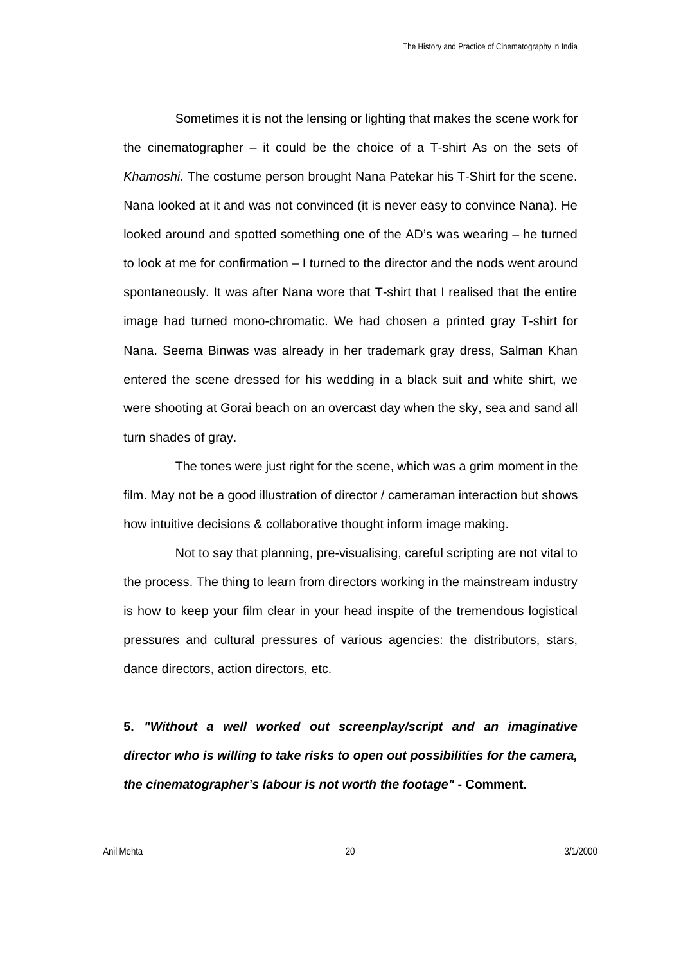Sometimes it is not the lensing or lighting that makes the scene work for the cinematographer – it could be the choice of a T-shirt As on the sets of *Khamoshi*. The costume person brought Nana Patekar his T-Shirt for the scene. Nana looked at it and was not convinced (it is never easy to convince Nana). He looked around and spotted something one of the AD's was wearing – he turned to look at me for confirmation – I turned to the director and the nods went around spontaneously. It was after Nana wore that T-shirt that I realised that the entire image had turned mono-chromatic. We had chosen a printed gray T-shirt for Nana. Seema Binwas was already in her trademark gray dress, Salman Khan entered the scene dressed for his wedding in a black suit and white shirt, we were shooting at Gorai beach on an overcast day when the sky, sea and sand all turn shades of gray.

The tones were just right for the scene, which was a grim moment in the film. May not be a good illustration of director / cameraman interaction but shows how intuitive decisions & collaborative thought inform image making.

Not to say that planning, pre-visualising, careful scripting are not vital to the process. The thing to learn from directors working in the mainstream industry is how to keep your film clear in your head inspite of the tremendous logistical pressures and cultural pressures of various agencies: the distributors, stars, dance directors, action directors, etc.

**5.** *"Without a well worked out screenplay/script and an imaginative director who is willing to take risks to open out possibilities for the camera, the cinematographer's labour is not worth the footage"* **- Comment.**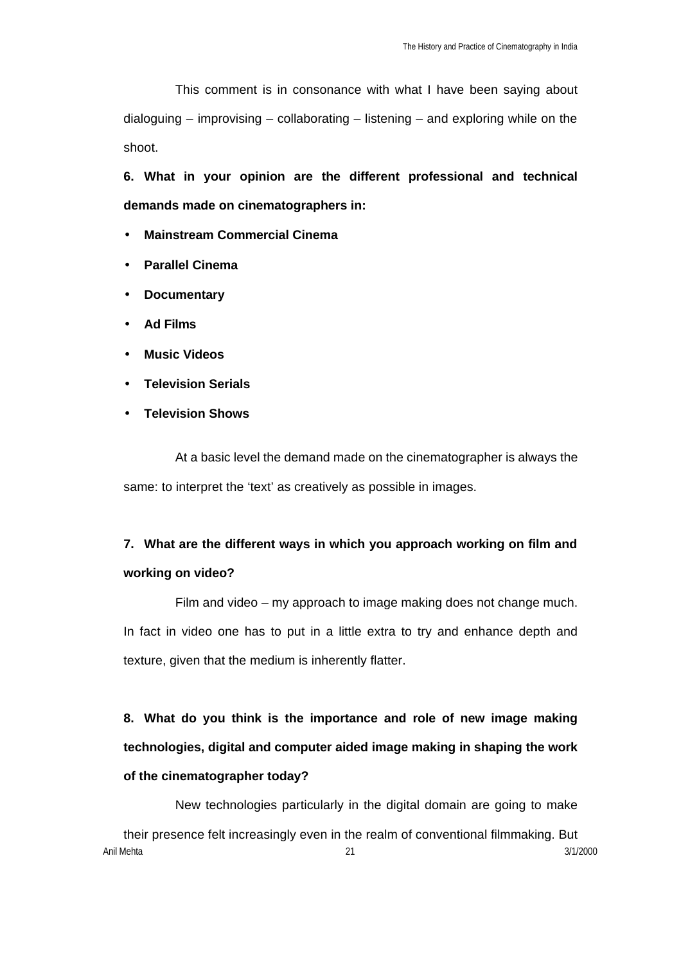This comment is in consonance with what I have been saying about dialoguing – improvising – collaborating – listening – and exploring while on the shoot.

**6. What in your opinion are the different professional and technical demands made on cinematographers in:**

- **Mainstream Commercial Cinema**
- **Parallel Cinema**
- **Documentary**
- **Ad Films**
- **Music Videos**
- **Television Serials**
- **Television Shows**

At a basic level the demand made on the cinematographer is always the same: to interpret the 'text' as creatively as possible in images.

# **7. What are the different ways in which you approach working on film and working on video?**

Film and video – my approach to image making does not change much. In fact in video one has to put in a little extra to try and enhance depth and texture, given that the medium is inherently flatter.

**8. What do you think is the importance and role of new image making technologies, digital and computer aided image making in shaping the work of the cinematographer today?**

New technologies particularly in the digital domain are going to make

Anil Mehta 21 3/1/2000 their presence felt increasingly even in the realm of conventional filmmaking. But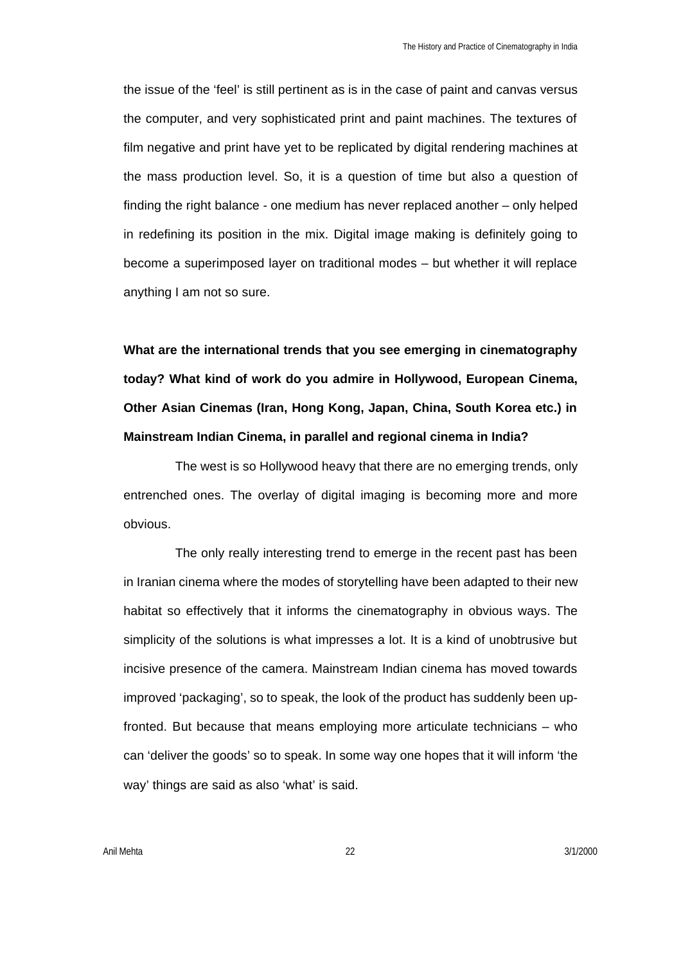the issue of the 'feel' is still pertinent as is in the case of paint and canvas versus the computer, and very sophisticated print and paint machines. The textures of film negative and print have yet to be replicated by digital rendering machines at the mass production level. So, it is a question of time but also a question of finding the right balance - one medium has never replaced another – only helped in redefining its position in the mix. Digital image making is definitely going to become a superimposed layer on traditional modes – but whether it will replace anything I am not so sure.

**What are the international trends that you see emerging in cinematography today? What kind of work do you admire in Hollywood, European Cinema, Other Asian Cinemas (Iran, Hong Kong, Japan, China, South Korea etc.) in Mainstream Indian Cinema, in parallel and regional cinema in India?**

The west is so Hollywood heavy that there are no emerging trends, only entrenched ones. The overlay of digital imaging is becoming more and more obvious.

The only really interesting trend to emerge in the recent past has been in Iranian cinema where the modes of storytelling have been adapted to their new habitat so effectively that it informs the cinematography in obvious ways. The simplicity of the solutions is what impresses a lot. It is a kind of unobtrusive but incisive presence of the camera. Mainstream Indian cinema has moved towards improved 'packaging', so to speak, the look of the product has suddenly been upfronted. But because that means employing more articulate technicians – who can 'deliver the goods' so to speak. In some way one hopes that it will inform 'the way' things are said as also 'what' is said.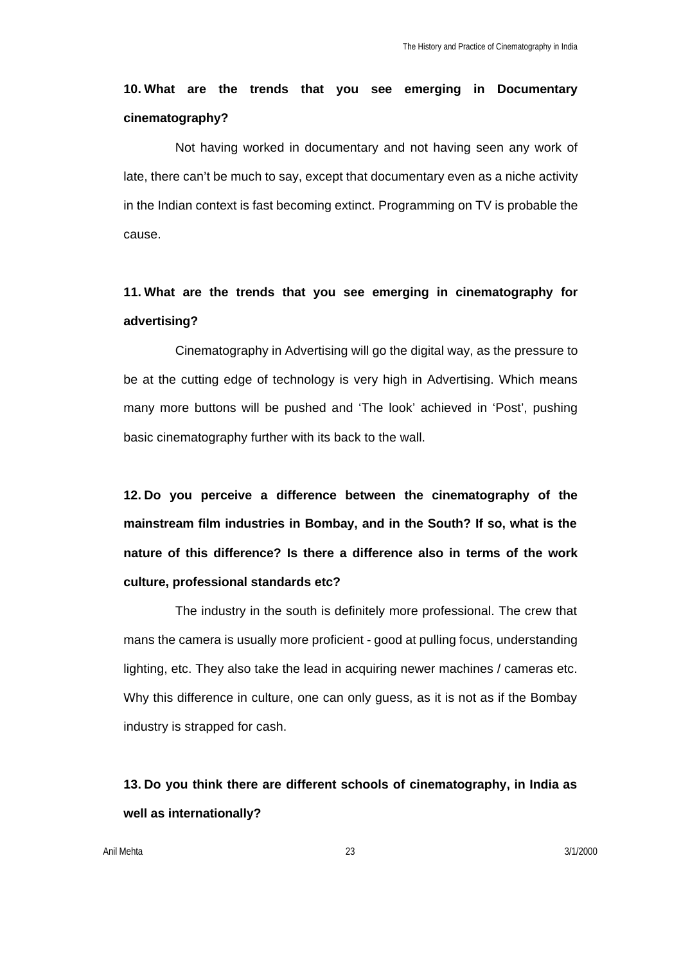# **10. What are the trends that you see emerging in Documentary cinematography?**

Not having worked in documentary and not having seen any work of late, there can't be much to say, except that documentary even as a niche activity in the Indian context is fast becoming extinct. Programming on TV is probable the cause.

# **11. What are the trends that you see emerging in cinematography for advertising?**

Cinematography in Advertising will go the digital way, as the pressure to be at the cutting edge of technology is very high in Advertising. Which means many more buttons will be pushed and 'The look' achieved in 'Post', pushing basic cinematography further with its back to the wall.

**12. Do you perceive a difference between the cinematography of the mainstream film industries in Bombay, and in the South? If so, what is the nature of this difference? Is there a difference also in terms of the work culture, professional standards etc?**

The industry in the south is definitely more professional. The crew that mans the camera is usually more proficient - good at pulling focus, understanding lighting, etc. They also take the lead in acquiring newer machines / cameras etc. Why this difference in culture, one can only guess, as it is not as if the Bombay industry is strapped for cash.

# **13. Do you think there are different schools of cinematography, in India as well as internationally?**

Anil Mehta 23 3/1/2000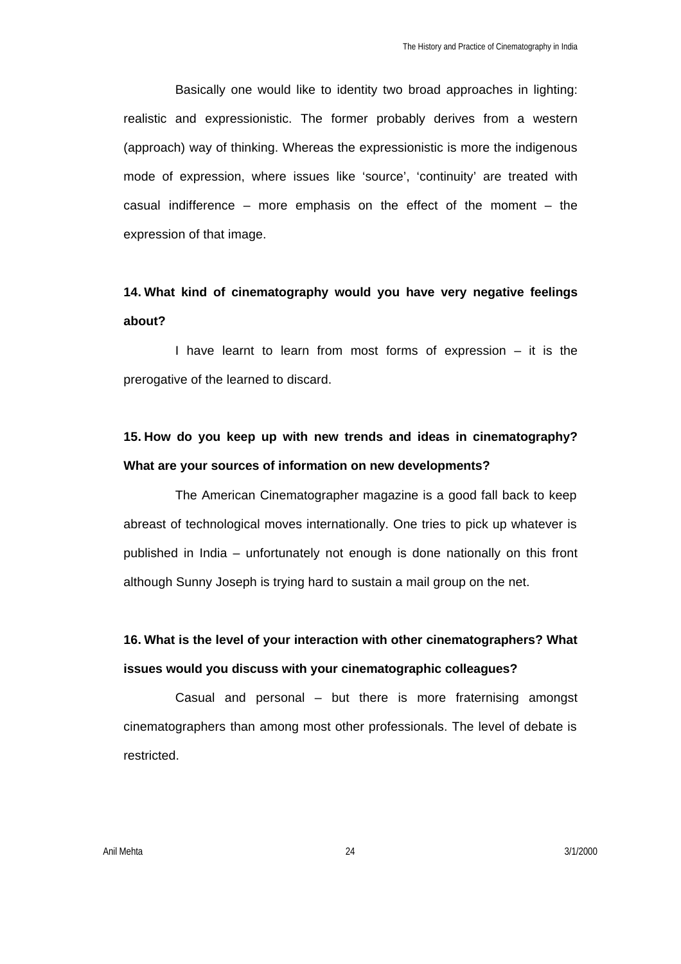Basically one would like to identity two broad approaches in lighting: realistic and expressionistic. The former probably derives from a western (approach) way of thinking. Whereas the expressionistic is more the indigenous mode of expression, where issues like 'source', 'continuity' are treated with casual indifference – more emphasis on the effect of the moment – the expression of that image.

# **14. What kind of cinematography would you have very negative feelings about?**

I have learnt to learn from most forms of expression – it is the prerogative of the learned to discard.

# **15. How do you keep up with new trends and ideas in cinematography? What are your sources of information on new developments?**

The American Cinematographer magazine is a good fall back to keep abreast of technological moves internationally. One tries to pick up whatever is published in India – unfortunately not enough is done nationally on this front although Sunny Joseph is trying hard to sustain a mail group on the net.

# **16. What is the level of your interaction with other cinematographers? What issues would you discuss with your cinematographic colleagues?**

Casual and personal – but there is more fraternising amongst cinematographers than among most other professionals. The level of debate is restricted.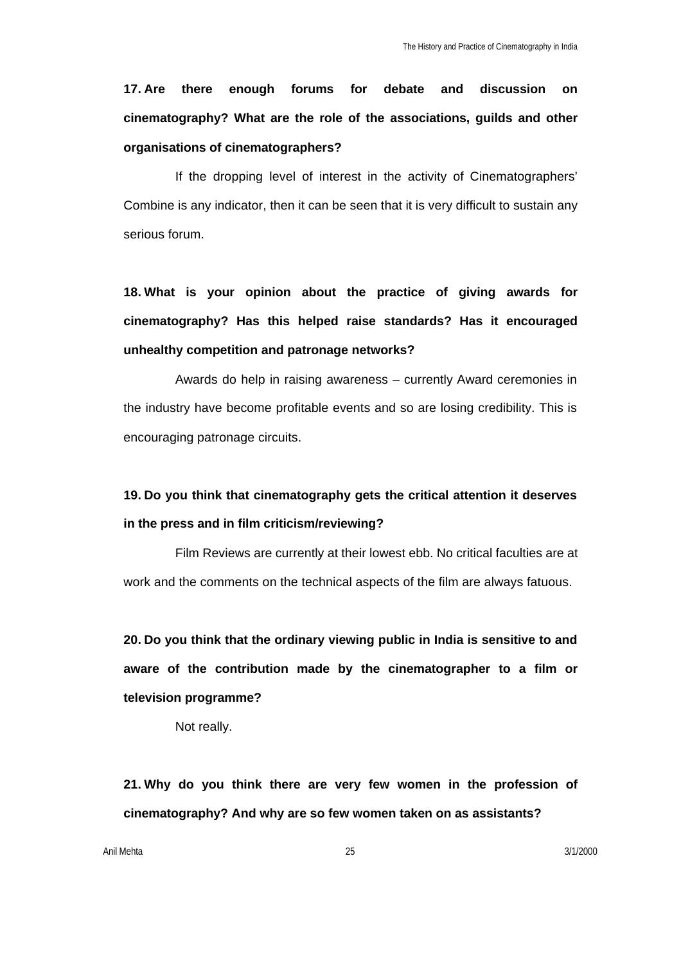**17. Are there enough forums for debate and discussion on cinematography? What are the role of the associations, guilds and other organisations of cinematographers?**

If the dropping level of interest in the activity of Cinematographers' Combine is any indicator, then it can be seen that it is very difficult to sustain any serious forum.

**18. What is your opinion about the practice of giving awards for cinematography? Has this helped raise standards? Has it encouraged unhealthy competition and patronage networks?**

Awards do help in raising awareness – currently Award ceremonies in the industry have become profitable events and so are losing credibility. This is encouraging patronage circuits.

# **19. Do you think that cinematography gets the critical attention it deserves in the press and in film criticism/reviewing?**

Film Reviews are currently at their lowest ebb. No critical faculties are at work and the comments on the technical aspects of the film are always fatuous.

**20. Do you think that the ordinary viewing public in India is sensitive to and aware of the contribution made by the cinematographer to a film or television programme?**

Not really.

**21. Why do you think there are very few women in the profession of cinematography? And why are so few women taken on as assistants?**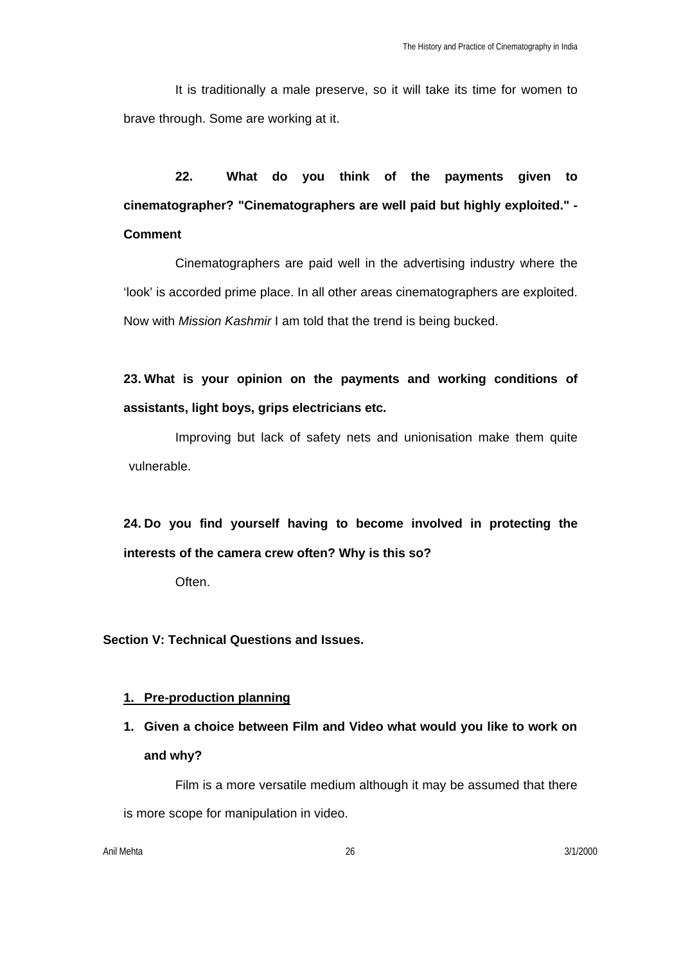It is traditionally a male preserve, so it will take its time for women to brave through. Some are working at it.

**22. What do you think of the payments given to cinematographer? "Cinematographers are well paid but highly exploited." - Comment**

Cinematographers are paid well in the advertising industry where the 'look' is accorded prime place. In all other areas cinematographers are exploited. Now with *Mission Kashmir* I am told that the trend is being bucked.

**23. What is your opinion on the payments and working conditions of assistants, light boys, grips electricians etc.**

Improving but lack of safety nets and unionisation make them quite vulnerable.

**24. Do you find yourself having to become involved in protecting the interests of the camera crew often? Why is this so?**

Often.

**Section V: Technical Questions and Issues.**

### **1. Pre-production planning**

**1. Given a choice between Film and Video what would you like to work on and why?** 

Film is a more versatile medium although it may be assumed that there is more scope for manipulation in video.

Anil Mehta 26 3/1/2000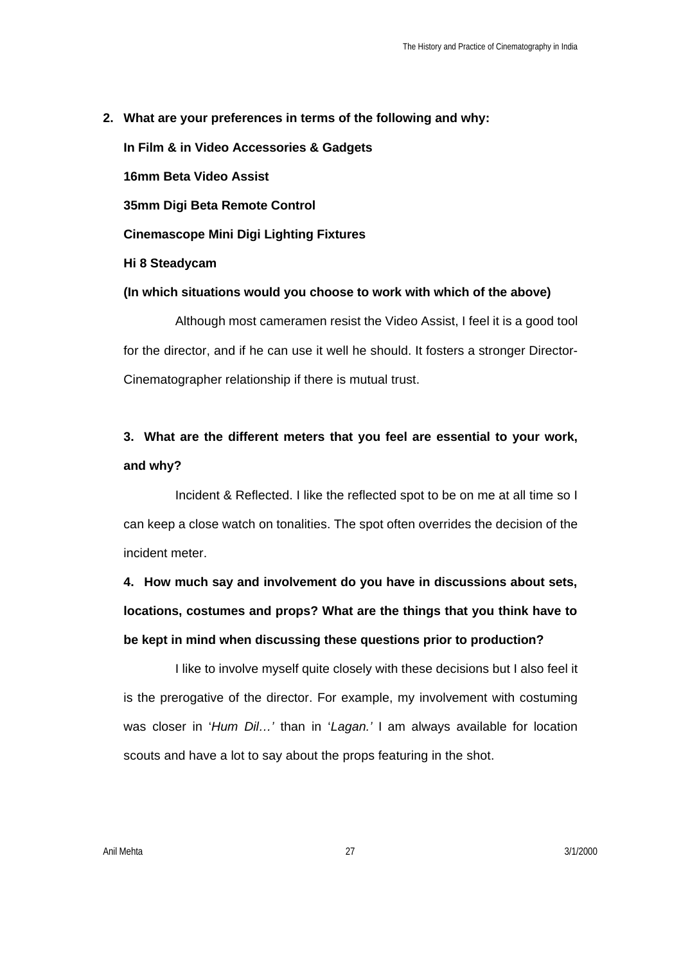**2. What are your preferences in terms of the following and why: In Film & in Video Accessories & Gadgets 16mm Beta Video Assist 35mm Digi Beta Remote Control Cinemascope Mini Digi Lighting Fixtures Hi 8 Steadycam (In which situations would you choose to work with which of the above)**

Although most cameramen resist the Video Assist, I feel it is a good tool for the director, and if he can use it well he should. It fosters a stronger Director-Cinematographer relationship if there is mutual trust.

# **3. What are the different meters that you feel are essential to your work, and why?**

Incident & Reflected. I like the reflected spot to be on me at all time so I can keep a close watch on tonalities. The spot often overrides the decision of the incident meter.

**4. How much say and involvement do you have in discussions about sets, locations, costumes and props? What are the things that you think have to be kept in mind when discussing these questions prior to production?** 

I like to involve myself quite closely with these decisions but I also feel it is the prerogative of the director. For example, my involvement with costuming was closer in '*Hum Dil…'* than in '*Lagan.'* I am always available for location scouts and have a lot to say about the props featuring in the shot.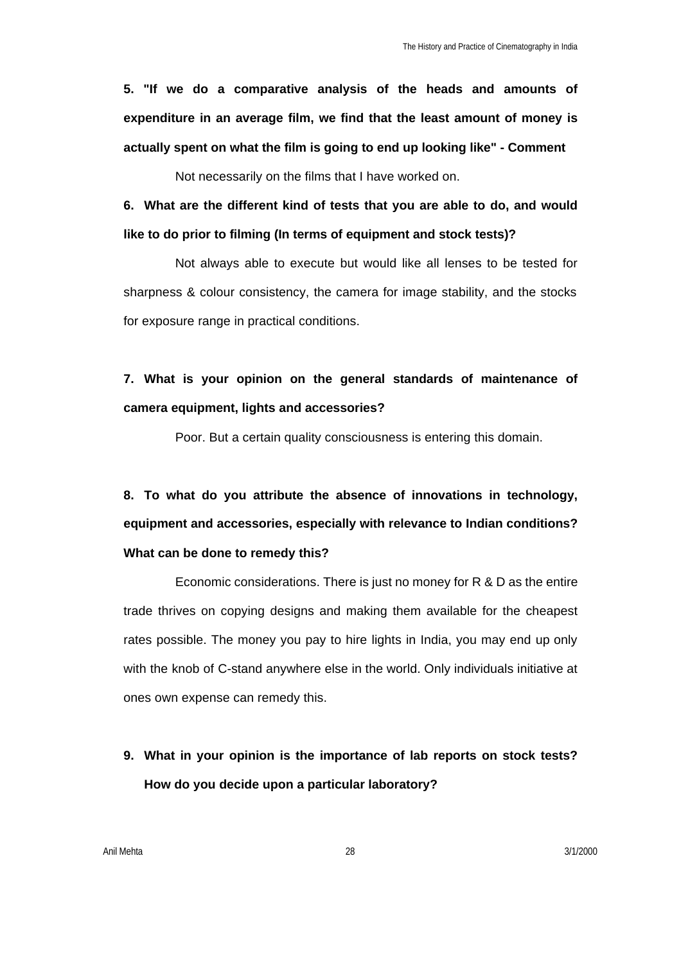**5. "If we do a comparative analysis of the heads and amounts of expenditure in an average film, we find that the least amount of money is actually spent on what the film is going to end up looking like" - Comment**

Not necessarily on the films that I have worked on.

**6. What are the different kind of tests that you are able to do, and would like to do prior to filming (In terms of equipment and stock tests)?**

Not always able to execute but would like all lenses to be tested for sharpness & colour consistency, the camera for image stability, and the stocks for exposure range in practical conditions.

**7. What is your opinion on the general standards of maintenance of camera equipment, lights and accessories?**

Poor. But a certain quality consciousness is entering this domain.

**8. To what do you attribute the absence of innovations in technology, equipment and accessories, especially with relevance to Indian conditions? What can be done to remedy this?**

Economic considerations. There is just no money for R & D as the entire trade thrives on copying designs and making them available for the cheapest rates possible. The money you pay to hire lights in India, you may end up only with the knob of C-stand anywhere else in the world. Only individuals initiative at ones own expense can remedy this.

**9. What in your opinion is the importance of lab reports on stock tests? How do you decide upon a particular laboratory?**

Anil Mehta 28 3/1/2000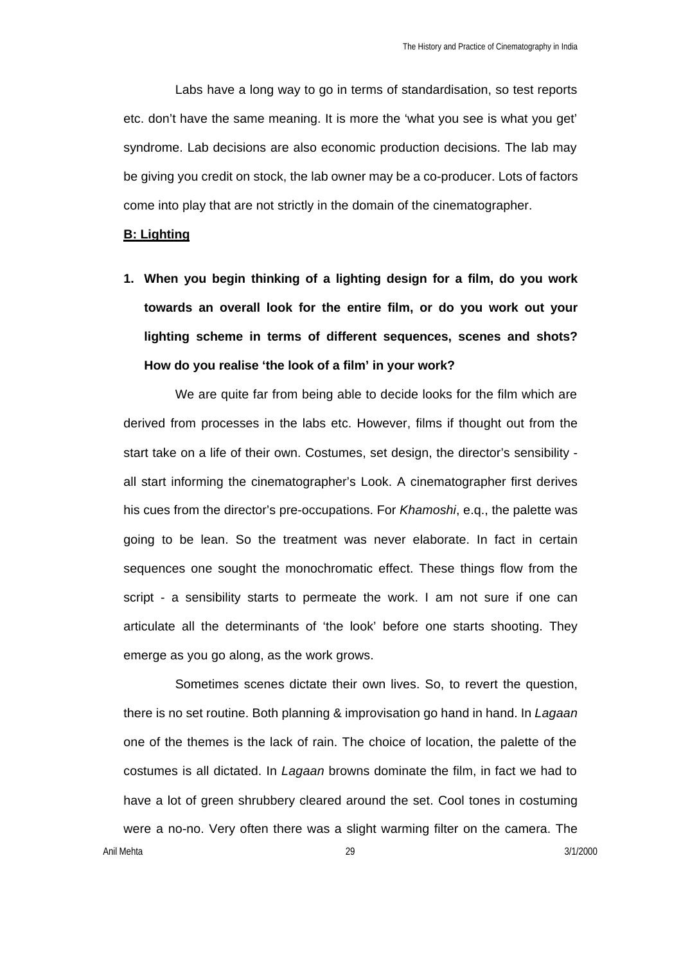Labs have a long way to go in terms of standardisation, so test reports etc. don't have the same meaning. It is more the 'what you see is what you get' syndrome. Lab decisions are also economic production decisions. The lab may be giving you credit on stock, the lab owner may be a co-producer. Lots of factors come into play that are not strictly in the domain of the cinematographer.

#### **B: Lighting**

**1. When you begin thinking of a lighting design for a film, do you work towards an overall look for the entire film, or do you work out your lighting scheme in terms of different sequences, scenes and shots? How do you realise 'the look of a film' in your work?** 

We are quite far from being able to decide looks for the film which are derived from processes in the labs etc. However, films if thought out from the start take on a life of their own. Costumes, set design, the director's sensibility all start informing the cinematographer's Look. A cinematographer first derives his cues from the director's pre-occupations. For *Khamoshi*, e.q., the palette was going to be lean. So the treatment was never elaborate. In fact in certain sequences one sought the monochromatic effect. These things flow from the script - a sensibility starts to permeate the work. I am not sure if one can articulate all the determinants of 'the look' before one starts shooting. They emerge as you go along, as the work grows.

Anil Mehta 29 3/1/2000 Sometimes scenes dictate their own lives. So, to revert the question, there is no set routine. Both planning & improvisation go hand in hand. In *Lagaan* one of the themes is the lack of rain. The choice of location, the palette of the costumes is all dictated. In *Lagaan* browns dominate the film, in fact we had to have a lot of green shrubbery cleared around the set. Cool tones in costuming were a no-no. Very often there was a slight warming filter on the camera. The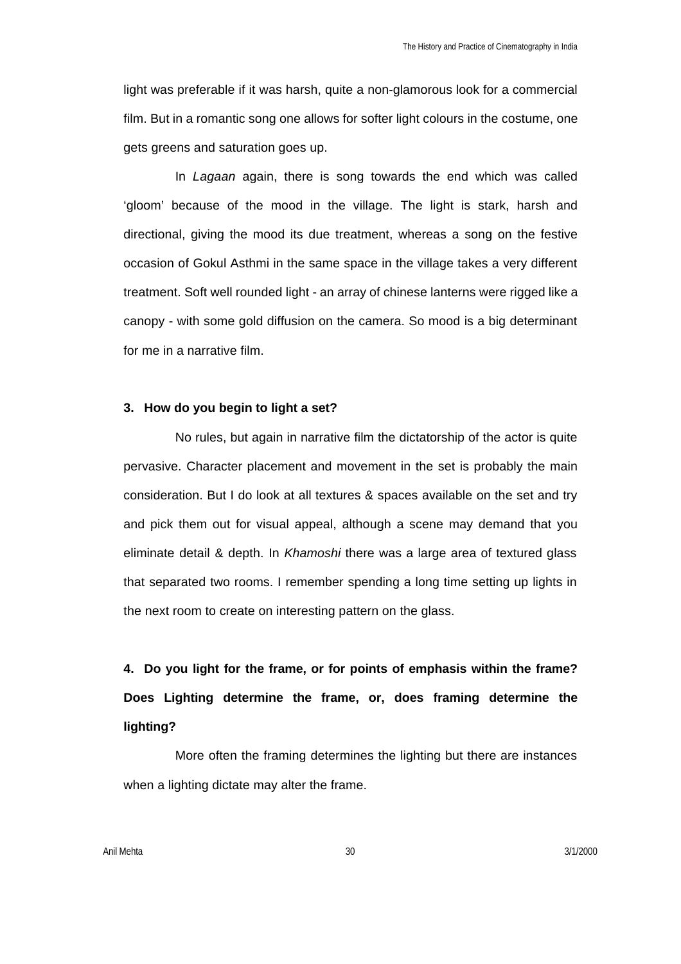light was preferable if it was harsh, quite a non-glamorous look for a commercial film. But in a romantic song one allows for softer light colours in the costume, one gets greens and saturation goes up.

In *Lagaan* again, there is song towards the end which was called 'gloom' because of the mood in the village. The light is stark, harsh and directional, giving the mood its due treatment, whereas a song on the festive occasion of Gokul Asthmi in the same space in the village takes a very different treatment. Soft well rounded light - an array of chinese lanterns were rigged like a canopy - with some gold diffusion on the camera. So mood is a big determinant for me in a narrative film.

### **3. How do you begin to light a set?**

No rules, but again in narrative film the dictatorship of the actor is quite pervasive. Character placement and movement in the set is probably the main consideration. But I do look at all textures & spaces available on the set and try and pick them out for visual appeal, although a scene may demand that you eliminate detail & depth. In *Khamoshi* there was a large area of textured glass that separated two rooms. I remember spending a long time setting up lights in the next room to create on interesting pattern on the glass.

**4. Do you light for the frame, or for points of emphasis within the frame? Does Lighting determine the frame, or, does framing determine the lighting?**

More often the framing determines the lighting but there are instances when a lighting dictate may alter the frame.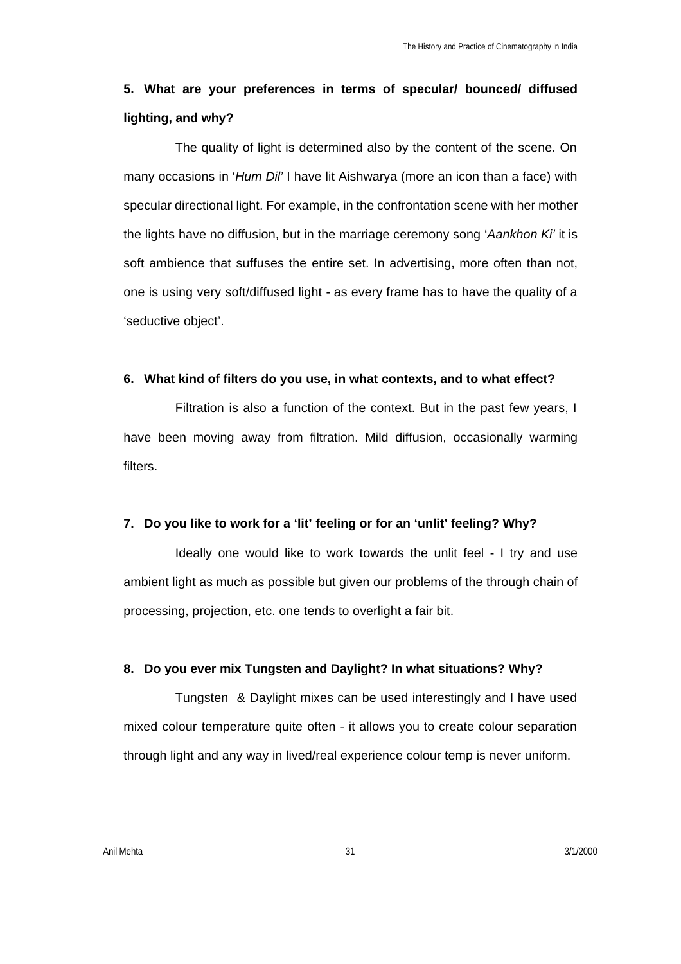### **5. What are your preferences in terms of specular/ bounced/ diffused lighting, and why?**

The quality of light is determined also by the content of the scene. On many occasions in '*Hum Dil'* I have lit Aishwarya (more an icon than a face) with specular directional light. For example, in the confrontation scene with her mother the lights have no diffusion, but in the marriage ceremony song '*Aankhon Ki'* it is soft ambience that suffuses the entire set. In advertising, more often than not, one is using very soft/diffused light - as every frame has to have the quality of a 'seductive object'.

#### **6. What kind of filters do you use, in what contexts, and to what effect?**

Filtration is also a function of the context. But in the past few years, I have been moving away from filtration. Mild diffusion, occasionally warming filters.

### **7. Do you like to work for a 'lit' feeling or for an 'unlit' feeling? Why?**

Ideally one would like to work towards the unlit feel - I try and use ambient light as much as possible but given our problems of the through chain of processing, projection, etc. one tends to overlight a fair bit.

### **8. Do you ever mix Tungsten and Daylight? In what situations? Why?**

Tungsten & Daylight mixes can be used interestingly and I have used mixed colour temperature quite often - it allows you to create colour separation through light and any way in lived/real experience colour temp is never uniform.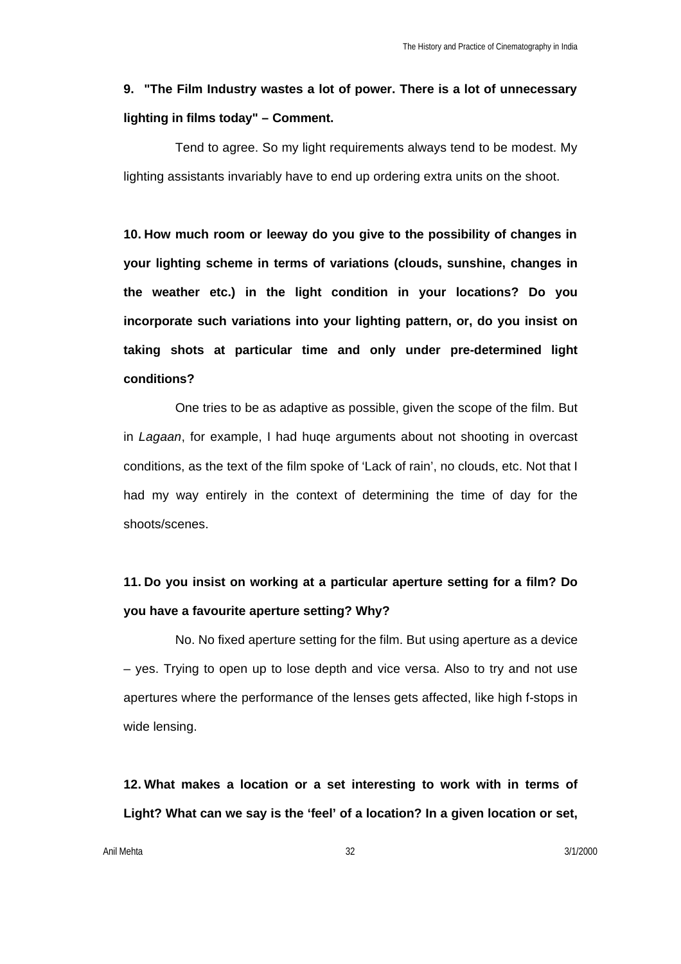# **9. "The Film Industry wastes a lot of power. There is a lot of unnecessary lighting in films today" – Comment.**

Tend to agree. So my light requirements always tend to be modest. My lighting assistants invariably have to end up ordering extra units on the shoot.

**10. How much room or leeway do you give to the possibility of changes in your lighting scheme in terms of variations (clouds, sunshine, changes in the weather etc.) in the light condition in your locations? Do you incorporate such variations into your lighting pattern, or, do you insist on taking shots at particular time and only under pre-determined light conditions?**

One tries to be as adaptive as possible, given the scope of the film. But in *Lagaan*, for example, I had huqe arguments about not shooting in overcast conditions, as the text of the film spoke of 'Lack of rain', no clouds, etc. Not that I had my way entirely in the context of determining the time of day for the shoots/scenes.

# **11. Do you insist on working at a particular aperture setting for a film? Do you have a favourite aperture setting? Why?**

No. No fixed aperture setting for the film. But using aperture as a device – yes. Trying to open up to lose depth and vice versa. Also to try and not use apertures where the performance of the lenses gets affected, like high f-stops in wide lensing.

**12. What makes a location or a set interesting to work with in terms of Light? What can we say is the 'feel' of a location? In a given location or set,** 

Anil Mehta 31/2000 3/1/2000 32 3/1/2000 32 3/1/2000 32 3/1/2000 32 3/1/2000 3/1/2000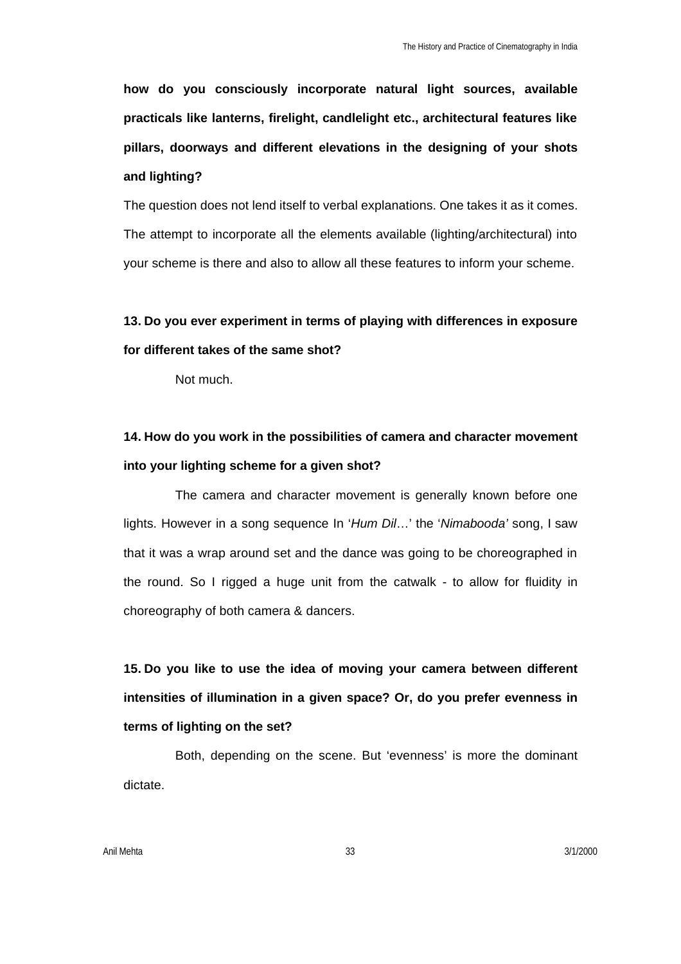**how do you consciously incorporate natural light sources, available practicals like lanterns, firelight, candlelight etc., architectural features like pillars, doorways and different elevations in the designing of your shots and lighting?**

The question does not lend itself to verbal explanations. One takes it as it comes. The attempt to incorporate all the elements available (lighting/architectural) into your scheme is there and also to allow all these features to inform your scheme.

**13. Do you ever experiment in terms of playing with differences in exposure for different takes of the same shot?**

Not much.

# **14. How do you work in the possibilities of camera and character movement into your lighting scheme for a given shot?**

The camera and character movement is generally known before one lights. However in a song sequence In '*Hum Dil*…' the '*Nimabooda'* song, I saw that it was a wrap around set and the dance was going to be choreographed in the round. So I rigged a huge unit from the catwalk - to allow for fluidity in choreography of both camera & dancers.

**15. Do you like to use the idea of moving your camera between different intensities of illumination in a given space? Or, do you prefer evenness in terms of lighting on the set?**

Both, depending on the scene. But 'evenness' is more the dominant dictate.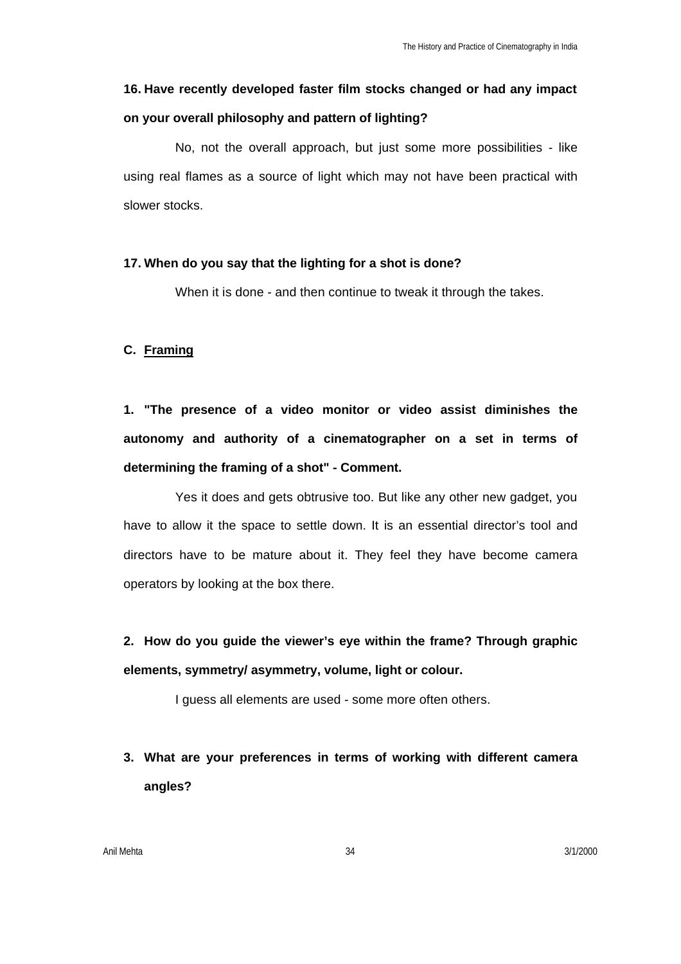# **16. Have recently developed faster film stocks changed or had any impact on your overall philosophy and pattern of lighting?**

No, not the overall approach, but just some more possibilities - like using real flames as a source of light which may not have been practical with slower stocks.

### **17. When do you say that the lighting for a shot is done?**

When it is done - and then continue to tweak it through the takes.

### **C. Framing**

**1. "The presence of a video monitor or video assist diminishes the autonomy and authority of a cinematographer on a set in terms of determining the framing of a shot" - Comment.**

Yes it does and gets obtrusive too. But like any other new gadget, you have to allow it the space to settle down. It is an essential director's tool and directors have to be mature about it. They feel they have become camera operators by looking at the box there.

**2. How do you guide the viewer's eye within the frame? Through graphic elements, symmetry/ asymmetry, volume, light or colour.**

I guess all elements are used - some more often others.

**3. What are your preferences in terms of working with different camera angles?**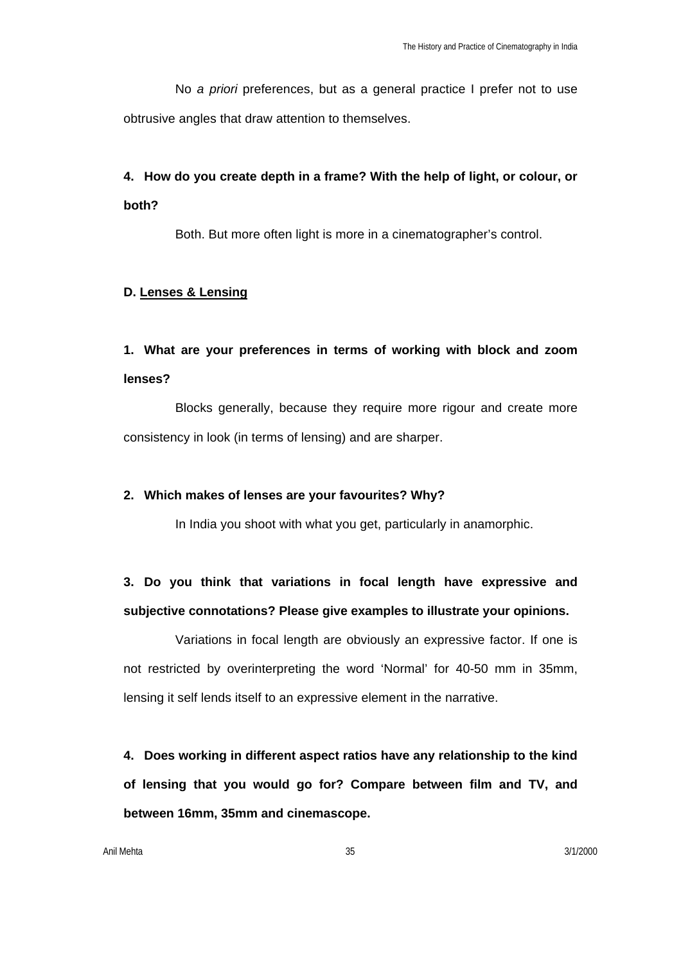No *a priori* preferences, but as a general practice I prefer not to use obtrusive angles that draw attention to themselves.

# **4. How do you create depth in a frame? With the help of light, or colour, or both?**

Both. But more often light is more in a cinematographer's control.

### **D. Lenses & Lensing**

# **1. What are your preferences in terms of working with block and zoom lenses?**

Blocks generally, because they require more rigour and create more consistency in look (in terms of lensing) and are sharper.

### **2. Which makes of lenses are your favourites? Why?**

In India you shoot with what you get, particularly in anamorphic.

# **3. Do you think that variations in focal length have expressive and subjective connotations? Please give examples to illustrate your opinions.**

Variations in focal length are obviously an expressive factor. If one is not restricted by overinterpreting the word 'Normal' for 40-50 mm in 35mm, lensing it self lends itself to an expressive element in the narrative.

**4. Does working in different aspect ratios have any relationship to the kind of lensing that you would go for? Compare between film and TV, and between 16mm, 35mm and cinemascope.**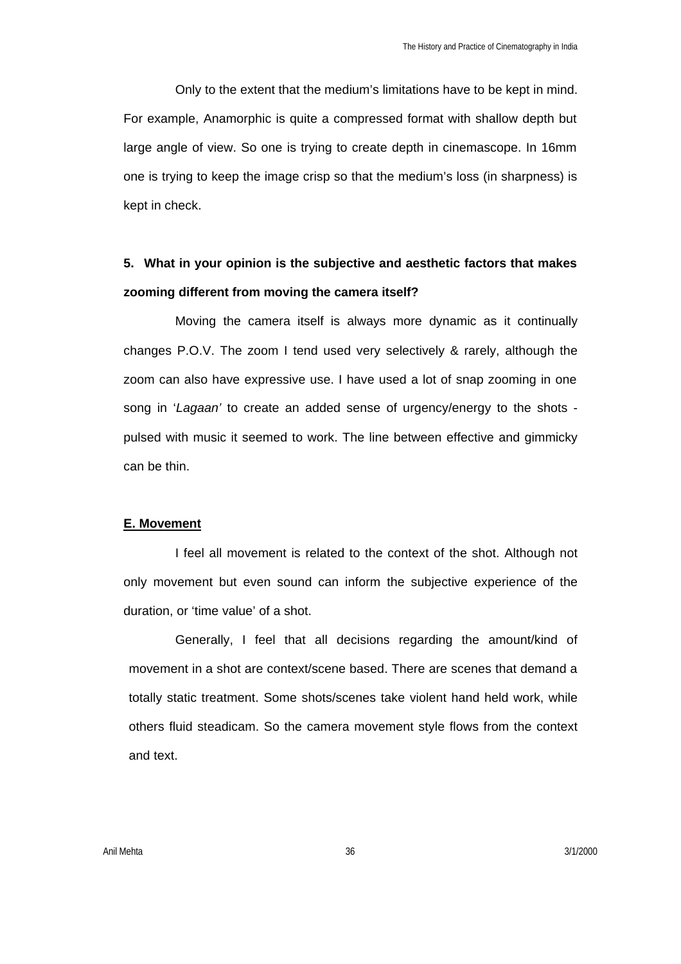Only to the extent that the medium's limitations have to be kept in mind. For example, Anamorphic is quite a compressed format with shallow depth but large angle of view. So one is trying to create depth in cinemascope. In 16mm one is trying to keep the image crisp so that the medium's loss (in sharpness) is kept in check.

# **5. What in your opinion is the subjective and aesthetic factors that makes zooming different from moving the camera itself?**

Moving the camera itself is always more dynamic as it continually changes P.O.V. The zoom I tend used very selectively & rarely, although the zoom can also have expressive use. I have used a lot of snap zooming in one song in '*Lagaan'* to create an added sense of urgency/energy to the shots pulsed with music it seemed to work. The line between effective and gimmicky can be thin.

### **E. Movement**

I feel all movement is related to the context of the shot. Although not only movement but even sound can inform the subjective experience of the duration, or 'time value' of a shot.

Generally, I feel that all decisions regarding the amount/kind of movement in a shot are context/scene based. There are scenes that demand a totally static treatment. Some shots/scenes take violent hand held work, while others fluid steadicam. So the camera movement style flows from the context and text.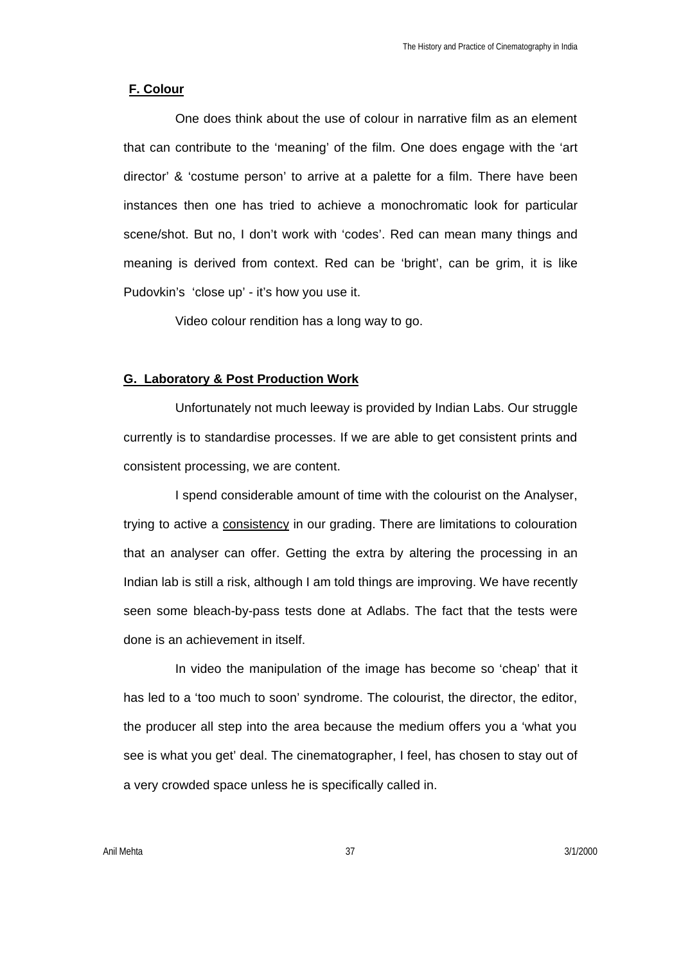#### **F. Colour**

One does think about the use of colour in narrative film as an element that can contribute to the 'meaning' of the film. One does engage with the 'art director' & 'costume person' to arrive at a palette for a film. There have been instances then one has tried to achieve a monochromatic look for particular scene/shot. But no, I don't work with 'codes'. Red can mean many things and meaning is derived from context. Red can be 'bright', can be grim, it is like Pudovkin's 'close up' - it's how you use it.

Video colour rendition has a long way to go.

### **G. Laboratory & Post Production Work**

Unfortunately not much leeway is provided by Indian Labs. Our struggle currently is to standardise processes. If we are able to get consistent prints and consistent processing, we are content.

I spend considerable amount of time with the colourist on the Analyser, trying to active a consistency in our grading. There are limitations to colouration that an analyser can offer. Getting the extra by altering the processing in an Indian lab is still a risk, although I am told things are improving. We have recently seen some bleach-by-pass tests done at Adlabs. The fact that the tests were done is an achievement in itself.

In video the manipulation of the image has become so 'cheap' that it has led to a 'too much to soon' syndrome. The colourist, the director, the editor, the producer all step into the area because the medium offers you a 'what you see is what you get' deal. The cinematographer, I feel, has chosen to stay out of a very crowded space unless he is specifically called in.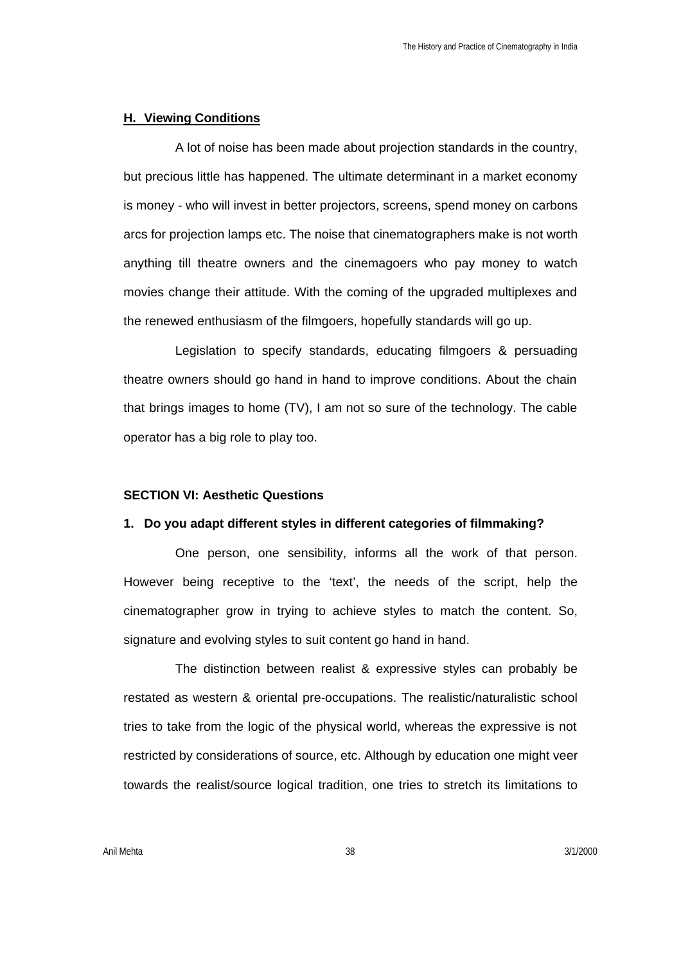### **H. Viewing Conditions**

A lot of noise has been made about projection standards in the country, but precious little has happened. The ultimate determinant in a market economy is money - who will invest in better projectors, screens, spend money on carbons arcs for projection lamps etc. The noise that cinematographers make is not worth anything till theatre owners and the cinemagoers who pay money to watch movies change their attitude. With the coming of the upgraded multiplexes and the renewed enthusiasm of the filmgoers, hopefully standards will go up.

Legislation to specify standards, educating filmgoers & persuading theatre owners should go hand in hand to improve conditions. About the chain that brings images to home (TV), I am not so sure of the technology. The cable operator has a big role to play too.

#### **SECTION VI: Aesthetic Questions**

#### **1. Do you adapt different styles in different categories of filmmaking?**

One person, one sensibility, informs all the work of that person. However being receptive to the 'text', the needs of the script, help the cinematographer grow in trying to achieve styles to match the content. So, signature and evolving styles to suit content go hand in hand.

The distinction between realist & expressive styles can probably be restated as western & oriental pre-occupations. The realistic/naturalistic school tries to take from the logic of the physical world, whereas the expressive is not restricted by considerations of source, etc. Although by education one might veer towards the realist/source logical tradition, one tries to stretch its limitations to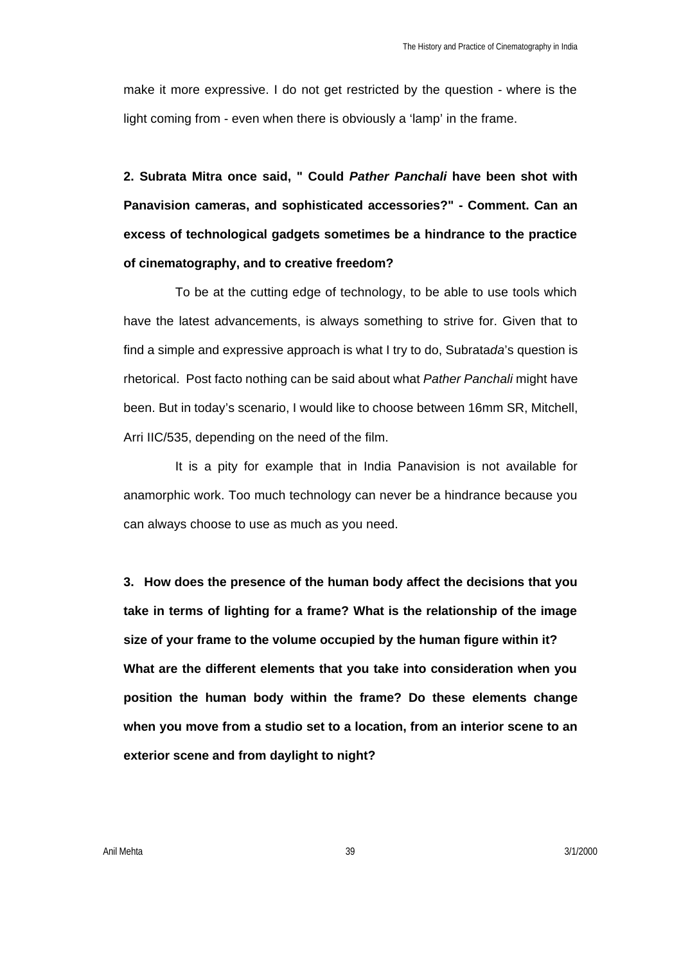make it more expressive. I do not get restricted by the question - where is the light coming from - even when there is obviously a 'lamp' in the frame.

**2. Subrata Mitra once said, " Could** *Pather Panchali* **have been shot with Panavision cameras, and sophisticated accessories?" - Comment. Can an excess of technological gadgets sometimes be a hindrance to the practice of cinematography, and to creative freedom?**

To be at the cutting edge of technology, to be able to use tools which have the latest advancements, is always something to strive for. Given that to find a simple and expressive approach is what I try to do, Subrata*da*'s question is rhetorical. Post facto nothing can be said about what *Pather Panchali* might have been. But in today's scenario, I would like to choose between 16mm SR, Mitchell, Arri IIC/535, depending on the need of the film.

It is a pity for example that in India Panavision is not available for anamorphic work. Too much technology can never be a hindrance because you can always choose to use as much as you need.

**3. How does the presence of the human body affect the decisions that you take in terms of lighting for a frame? What is the relationship of the image size of your frame to the volume occupied by the human figure within it? What are the different elements that you take into consideration when you position the human body within the frame? Do these elements change when you move from a studio set to a location, from an interior scene to an exterior scene and from daylight to night?**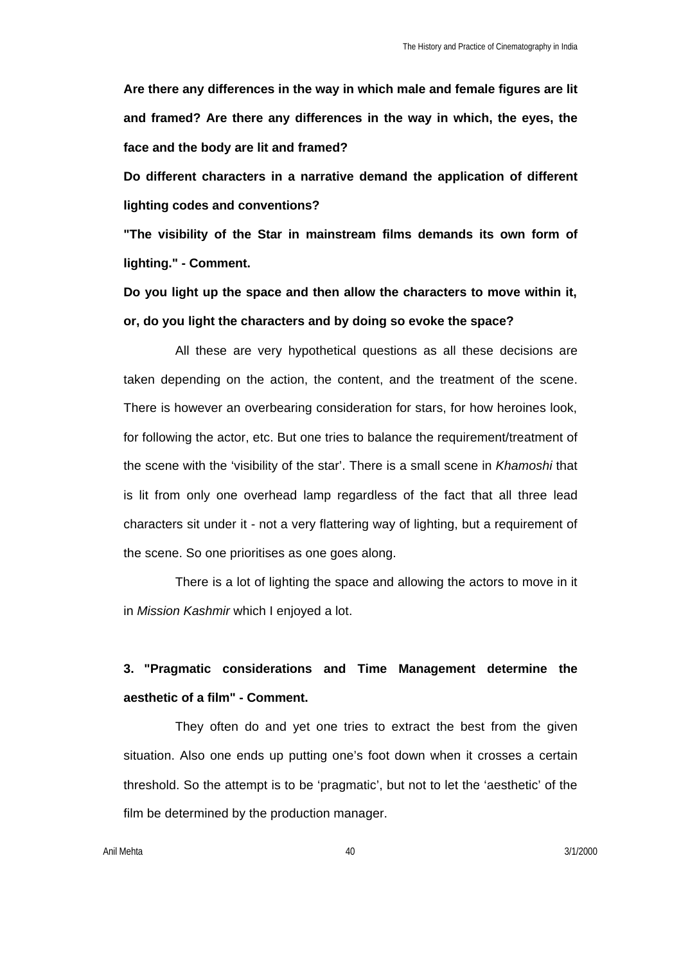**Are there any differences in the way in which male and female figures are lit and framed? Are there any differences in the way in which, the eyes, the face and the body are lit and framed?** 

**Do different characters in a narrative demand the application of different lighting codes and conventions?** 

**"The visibility of the Star in mainstream films demands its own form of lighting." - Comment.** 

**Do you light up the space and then allow the characters to move within it, or, do you light the characters and by doing so evoke the space?** 

All these are very hypothetical questions as all these decisions are taken depending on the action, the content, and the treatment of the scene. There is however an overbearing consideration for stars, for how heroines look, for following the actor, etc. But one tries to balance the requirement/treatment of the scene with the 'visibility of the star'. There is a small scene in *Khamoshi* that is lit from only one overhead lamp regardless of the fact that all three lead characters sit under it - not a very flattering way of lighting, but a requirement of the scene. So one prioritises as one goes along.

There is a lot of lighting the space and allowing the actors to move in it in *Mission Kashmir* which I enjoyed a lot.

# **3. "Pragmatic considerations and Time Management determine the aesthetic of a film" - Comment.**

They often do and yet one tries to extract the best from the given situation. Also one ends up putting one's foot down when it crosses a certain threshold. So the attempt is to be 'pragmatic', but not to let the 'aesthetic' of the film be determined by the production manager.